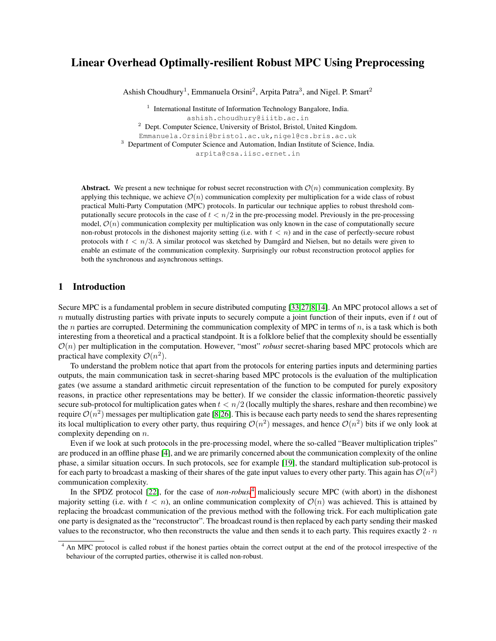# Linear Overhead Optimally-resilient Robust MPC Using Preprocessing

Ashish Choudhury<sup>1</sup>, Emmanuela Orsini<sup>2</sup>, Arpita Patra<sup>3</sup>, and Nigel. P. Smart<sup>2</sup>

1 International Institute of Information Technology Bangalore, India. ashish.choudhury@iiitb.ac.in <sup>2</sup> Dept. Computer Science, University of Bristol, Bristol, United Kingdom. Emmanuela.Orsini@bristol.ac.uk,nigel@cs.bris.ac.uk <sup>3</sup> Department of Computer Science and Automation, Indian Institute of Science, India. arpita@csa.iisc.ernet.in

Abstract. We present a new technique for robust secret reconstruction with  $\mathcal{O}(n)$  communication complexity. By applying this technique, we achieve  $\mathcal{O}(n)$  communication complexity per multiplication for a wide class of robust practical Multi-Party Computation (MPC) protocols. In particular our technique applies to robust threshold computationally secure protocols in the case of  $t < n/2$  in the pre-processing model. Previously in the pre-processing model,  $\mathcal{O}(n)$  communication complexity per multiplication was only known in the case of computationally secure non-robust protocols in the dishonest majority setting (i.e. with  $t < n$ ) and in the case of perfectly-secure robust protocols with  $t < n/3$ . A similar protocol was sketched by Damgård and Nielsen, but no details were given to enable an estimate of the communication complexity. Surprisingly our robust reconstruction protocol applies for both the synchronous and asynchronous settings.

## 1 Introduction

Secure MPC is a fundamental problem in secure distributed computing [\[33](#page-14-0)[,27](#page-14-1)[,8,](#page-13-0)[14\]](#page-13-1). An MPC protocol allows a set of  $n$  mutually distrusting parties with private inputs to securely compute a joint function of their inputs, even if  $t$  out of the *n* parties are corrupted. Determining the communication complexity of MPC in terms of *n*, is a task which is both interesting from a theoretical and a practical standpoint. It is a folklore belief that the complexity should be essentially  $\mathcal{O}(n)$  per multiplication in the computation. However, "most" *robust* secret-sharing based MPC protocols which are practical have complexity  $\mathcal{O}(n^2)$ .

To understand the problem notice that apart from the protocols for entering parties inputs and determining parties outputs, the main communication task in secret-sharing based MPC protocols is the evaluation of the multiplication gates (we assume a standard arithmetic circuit representation of the function to be computed for purely expository reasons, in practice other representations may be better). If we consider the classic information-theoretic passively secure sub-protocol for multiplication gates when  $t < n/2$  (locally multiply the shares, reshare and then recombine) we require  $\mathcal{O}(n^2)$  messages per multiplication gate [\[8](#page-13-0)[,26\]](#page-14-2). This is because each party needs to send the shares representing its local multiplication to every other party, thus requiring  $O(n^2)$  messages, and hence  $O(n^2)$  bits if we only look at complexity depending on n.

Even if we look at such protocols in the pre-processing model, where the so-called "Beaver multiplication triples" are produced in an offline phase [\[4\]](#page-13-2), and we are primarily concerned about the communication complexity of the online phase, a similar situation occurs. In such protocols, see for example [\[19\]](#page-13-3), the standard multiplication sub-protocol is for each party to broadcast a masking of their shares of the gate input values to every other party. This again has  $O(n^2)$ communication complexity.

In the SPDZ protocol [\[22\]](#page-13-4), for the case of *non-robust*[4](#page-0-0) maliciously secure MPC (with abort) in the dishonest majority setting (i.e. with  $t < n$ ), an online communication complexity of  $\mathcal{O}(n)$  was achieved. This is attained by replacing the broadcast communication of the previous method with the following trick. For each multiplication gate one party is designated as the "reconstructor". The broadcast round is then replaced by each party sending their masked values to the reconstructor, who then reconstructs the value and then sends it to each party. This requires exactly  $2 \cdot n$ 

<span id="page-0-0"></span><sup>&</sup>lt;sup>4</sup> An MPC protocol is called robust if the honest parties obtain the correct output at the end of the protocol irrespective of the behaviour of the corrupted parties, otherwise it is called non-robust.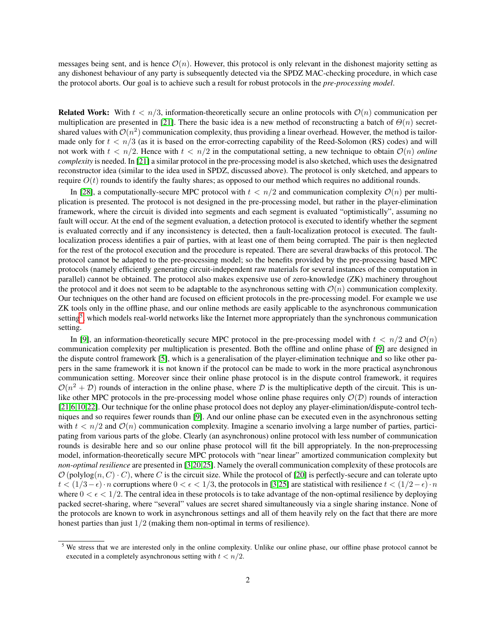messages being sent, and is hence  $\mathcal{O}(n)$ . However, this protocol is only relevant in the dishonest majority setting as any dishonest behaviour of any party is subsequently detected via the SPDZ MAC-checking procedure, in which case the protocol aborts. Our goal is to achieve such a result for robust protocols in the *pre-processing model*.

**Related Work:** With  $t < n/3$ , information-theoretically secure an online protocols with  $\mathcal{O}(n)$  communication per multiplication are presented in [\[21\]](#page-13-5). There the basic idea is a new method of reconstructing a batch of  $\Theta(n)$  secretshared values with  $\mathcal{O}(n^2)$  communication complexity, thus providing a linear overhead. However, the method is tailormade only for  $t < n/3$  (as it is based on the error-correcting capability of the Reed-Solomon (RS) codes) and will not work with  $t < n/2$ . Hence with  $t < n/2$  in the computational setting, a new technique to obtain  $\mathcal{O}(n)$  *online complexity* is needed. In [\[21\]](#page-13-5) a similar protocol in the pre-processing model is also sketched, which uses the designatred reconstructor idea (similar to the idea used in SPDZ, discussed above). The protocol is only sketched, and appears to require  $O(t)$  rounds to identify the faulty shares; as opposed to our method which requires no additional rounds.

In [\[28\]](#page-14-3), a computationally-secure MPC protocol with  $t < n/2$  and communication complexity  $\mathcal{O}(n)$  per multiplication is presented. The protocol is not designed in the pre-processing model, but rather in the player-elimination framework, where the circuit is divided into segments and each segment is evaluated "optimistically", assuming no fault will occur. At the end of the segment evaluation, a detection protocol is executed to identify whether the segment is evaluated correctly and if any inconsistency is detected, then a fault-localization protocol is executed. The faultlocalization process identifies a pair of parties, with at least one of them being corrupted. The pair is then neglected for the rest of the protocol execution and the procedure is repeated. There are several drawbacks of this protocol. The protocol cannot be adapted to the pre-processing model; so the benefits provided by the pre-processing based MPC protocols (namely efficiently generating circuit-independent raw materials for several instances of the computation in parallel) cannot be obtained. The protocol also makes expensive use of zero-knowledge (ZK) machinery throughout the protocol and it does not seem to be adaptable to the asynchronous setting with  $\mathcal{O}(n)$  communication complexity. Our techniques on the other hand are focused on efficient protocols in the pre-processing model. For example we use ZK tools only in the offline phase, and our online methods are easily applicable to the asynchronous communication setting<sup>[5](#page-1-0)</sup>, which models real-world networks like the Internet more appropriately than the synchronous communication setting.

In [\[9\]](#page-13-6), an information-theoretically secure MPC protocol in the pre-processing model with  $t < n/2$  and  $\mathcal{O}(n)$ communication complexity per multiplication is presented. Both the offline and online phase of [\[9\]](#page-13-6) are designed in the dispute control framework [\[5\]](#page-13-7), which is a generalisation of the player-elimination technique and so like other papers in the same framework it is not known if the protocol can be made to work in the more practical asynchronous communication setting. Moreover since their online phase protocol is in the dispute control framework, it requires  $\mathcal{O}(n^2 + \mathcal{D})$  rounds of interaction in the online phase, where  $\mathcal D$  is the multiplicative depth of the circuit. This is unlike other MPC protocols in the pre-processing model whose online phase requires only  $\mathcal{O}(\mathcal{D})$  rounds of interaction [\[21](#page-13-5)[,6,](#page-13-8)[10,](#page-13-9)[22\]](#page-13-4). Our technique for the online phase protocol does not deploy any player-elimination/dispute-control techniques and so requires fewer rounds than [\[9\]](#page-13-6). And our online phase can be executed even in the asynchronous setting with  $t < n/2$  and  $\mathcal{O}(n)$  communication complexity. Imagine a scenario involving a large number of parties, participating from various parts of the globe. Clearly (an asynchronous) online protocol with less number of communication rounds is desirable here and so our online phase protocol will fit the bill appropriately. In the non-preprocessing model, information-theoretically secure MPC protocols with "near linear" amortized communication complexity but *non-optimal resilience* are presented in [\[3](#page-13-10)[,20](#page-13-11)[,25\]](#page-13-12). Namely the overall communication complexity of these protocols are  $\mathcal{O}(\text{polylog}(n, C) \cdot C)$ , where C is the circuit size. While the protocol of [\[20\]](#page-13-11) is perfectly-secure and can tolerate upto  $t < (1/3 - \epsilon) \cdot n$  corruptions where  $0 < \epsilon < 1/3$ , the protocols in [\[3,](#page-13-10)[25\]](#page-13-12) are statistical with resilience  $t < (1/2 - \epsilon) \cdot n$ where  $0 < \epsilon < 1/2$ . The central idea in these protocols is to take advantage of the non-optimal resilience by deploying packed secret-sharing, where "several" values are secret shared simultaneously via a single sharing instance. None of the protocols are known to work in asynchronous settings and all of them heavily rely on the fact that there are more honest parties than just  $1/2$  (making them non-optimal in terms of resilience).

<span id="page-1-0"></span><sup>&</sup>lt;sup>5</sup> We stress that we are interested only in the online complexity. Unlike our online phase, our offline phase protocol cannot be executed in a completely asynchronous setting with  $t < n/2$ .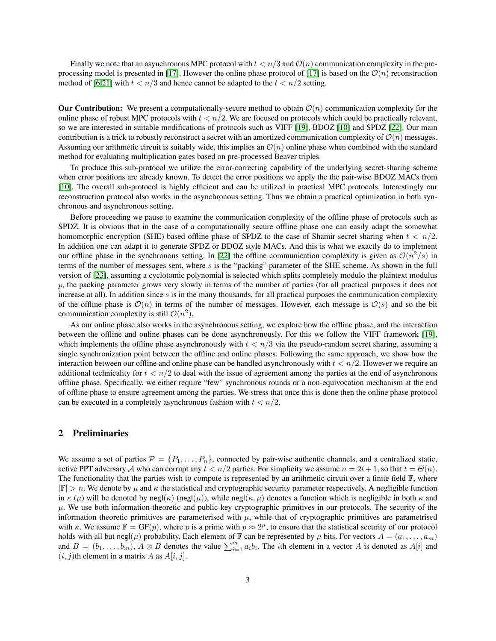Finally we note that an asynchronous MPC protocol with  $t < n/3$  and  $\mathcal{O}(n)$  communication complexity in the pre-processing model is presented in [\[17\]](#page-13-13). However the online phase protocol of [17] is based on the  $\mathcal{O}(n)$  reconstruction method of [\[6](#page-13-8)[,21\]](#page-13-5) with  $t < n/3$  and hence cannot be adapted to the  $t < n/2$  setting.

**Our Contribution:** We present a computationally-secure method to obtain  $\mathcal{O}(n)$  communication complexity for the online phase of robust MPC protocols with  $t < n/2$ . We are focused on protocols which could be practically relevant, so we are interested in suitable modifications of protocols such as VIFF [\[19\]](#page-13-3), BDOZ [\[10\]](#page-13-9) and SPDZ [\[22\]](#page-13-4). Our main contribution is a trick to robustly reconstruct a secret with an amortized communication complexity of  $\mathcal{O}(n)$  messages. Assuming our arithmetic circuit is suitably wide, this implies an  $\mathcal{O}(n)$  online phase when combined with the standard method for evaluating multiplication gates based on pre-processed Beaver triples.

To produce this sub-protocol we utilize the error-correcting capability of the underlying secret-sharing scheme when error positions are already known. To detect the error positions we apply the the pair-wise BDOZ MACs from [\[10\]](#page-13-9). The overall sub-protocol is highly efficient and can be utilized in practical MPC protocols. Interestingly our reconstruction protocol also works in the asynchronous setting. Thus we obtain a practical optimization in both synchronous and asynchronous setting.

Before proceeding we pause to examine the communication complexity of the offline phase of protocols such as SPDZ. It is obvious that in the case of a computationally secure offline phase one can easily adapt the somewhat homomorphic encryption (SHE) based offline phase of SPDZ to the case of Shamir secret sharing when  $t < n/2$ . In addition one can adapt it to generate SPDZ or BDOZ style MACs. And this is what we exactly do to implement our offline phase in the synchronous setting. In [\[22\]](#page-13-4) the offline communication complexity is given as  $\mathcal{O}(n^2/s)$  in terms of the number of messages sent, where s is the "packing" parameter of the SHE scheme. As shown in the full version of [\[23\]](#page-13-14), assuming a cyclotomic polynomial is selected which splits completely modulo the plaintext modulus p, the packing parameter grows very slowly in terms of the number of parties (for all practical purposes it does not increase at all). In addition since s is in the many thousands, for all practical purposes the communication complexity of the offline phase is  $\mathcal{O}(n)$  in terms of the number of messages. However, each message is  $\mathcal{O}(s)$  and so the bit communication complexity is still  $\mathcal{O}(n^2)$ .

As our online phase also works in the asynchronous setting, we explore how the offline phase, and the interaction between the offline and online phases can be done asynchronously. For this we follow the VIFF framework [\[19\]](#page-13-3), which implements the offline phase asynchronously with  $t < n/3$  via the pseudo-random secret sharing, assuming a single synchronization point between the offline and online phases. Following the same approach, we show how the interaction between our offline and online phase can be handled asynchronously with  $t < n/2$ . However we require an additional technicality for  $t < n/2$  to deal with the issue of agreement among the parties at the end of asynchronous offline phase. Specifically, we either require "few" synchronous rounds or a non-equivocation mechanism at the end of offline phase to ensure agreement among the parties. We stress that once this is done then the online phase protocol can be executed in a completely asynchronous fashion with  $t < n/2$ .

## 2 Preliminaries

We assume a set of parties  $\mathcal{P} = \{P_1, \ldots, P_n\}$ , connected by pair-wise authentic channels, and a centralized static, active PPT adversary A who can corrupt any  $t < n/2$  parties. For simplicity we assume  $n = 2t + 1$ , so that  $t = \Theta(n)$ . The functionality that the parties wish to compute is represented by an arithmetic circuit over a finite field  $\mathbb{F}$ , where  $|\mathbb{F}| > n$ . We denote by  $\mu$  and  $\kappa$  the statistical and cryptographic security parameter respectively. A negligible function in  $\kappa (\mu)$  will be denoted by negl( $\kappa$ ) (negl( $\mu$ )), while negl( $\kappa, \mu$ ) denotes a function which is negligible in both  $\kappa$  and  $\mu$ . We use both information-theoretic and public-key cryptographic primitives in our protocols. The security of the information theoretic primitives are parameterised with  $\mu$ , while that of cryptographic primitives are parametrised with  $\kappa$ . We assume  $\mathbb{F} = \text{GF}(p)$ , where p is a prime with  $p \approx 2^\mu$ , to ensure that the statistical security of our protocol holds with all but negl( $\mu$ ) probability. Each element of F can be represented by  $\mu$  bits. For vectors  $A = (a_1, \ldots, a_m)$ and  $B = (b_1, \ldots, b_m)$ ,  $A \otimes B$  denotes the value  $\sum_{i=1}^m a_i b_i$ . The *i*th element in a vector A is denoted as  $A[i]$  and  $(i, j)$ th element in a matrix A as  $A[i, j]$ .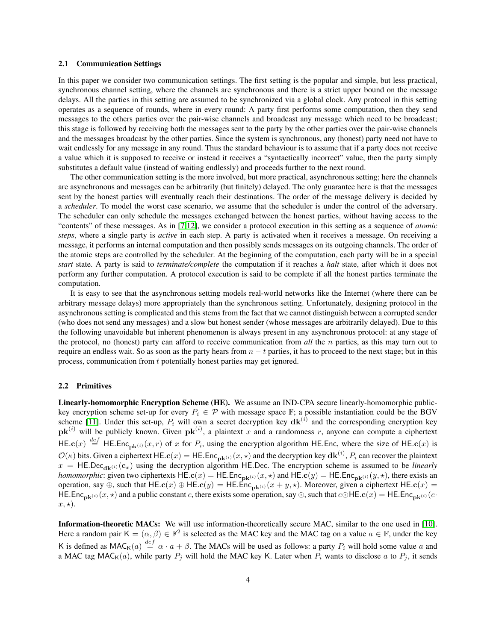#### 2.1 Communication Settings

In this paper we consider two communication settings. The first setting is the popular and simple, but less practical, synchronous channel setting, where the channels are synchronous and there is a strict upper bound on the message delays. All the parties in this setting are assumed to be synchronized via a global clock. Any protocol in this setting operates as a sequence of rounds, where in every round: A party first performs some computation, then they send messages to the others parties over the pair-wise channels and broadcast any message which need to be broadcast; this stage is followed by receiving both the messages sent to the party by the other parties over the pair-wise channels and the messages broadcast by the other parties. Since the system is synchronous, any (honest) party need not have to wait endlessly for any message in any round. Thus the standard behaviour is to assume that if a party does not receive a value which it is supposed to receive or instead it receives a "syntactically incorrect" value, then the party simply substitutes a default value (instead of waiting endlessly) and proceeds further to the next round.

The other communication setting is the more involved, but more practical, asynchronous setting; here the channels are asynchronous and messages can be arbitrarily (but finitely) delayed. The only guarantee here is that the messages sent by the honest parties will eventually reach their destinations. The order of the message delivery is decided by a *scheduler*. To model the worst case scenario, we assume that the scheduler is under the control of the adversary. The scheduler can only schedule the messages exchanged between the honest parties, without having access to the "contents" of these messages. As in [\[7,](#page-13-15)[12\]](#page-13-16), we consider a protocol execution in this setting as a sequence of *atomic steps*, where a single party is *active* in each step. A party is activated when it receives a message. On receiving a message, it performs an internal computation and then possibly sends messages on its outgoing channels. The order of the atomic steps are controlled by the scheduler. At the beginning of the computation, each party will be in a special *start* state. A party is said to *terminate/complete* the computation if it reaches a *halt* state, after which it does not perform any further computation. A protocol execution is said to be complete if all the honest parties terminate the computation.

It is easy to see that the asynchronous setting models real-world networks like the Internet (where there can be arbitrary message delays) more appropriately than the synchronous setting. Unfortunately, designing protocol in the asynchronous setting is complicated and this stems from the fact that we cannot distinguish between a corrupted sender (who does not send any messages) and a slow but honest sender (whose messages are arbitrarily delayed). Due to this the following unavoidable but inherent phenomenon is always present in any asynchronous protocol: at any stage of the protocol, no (honest) party can afford to receive communication from *all* the n parties, as this may turn out to require an endless wait. So as soon as the party hears from  $n - t$  parties, it has to proceed to the next stage; but in this process, communication from t potentially honest parties may get ignored.

### 2.2 Primitives

Linearly-homomorphic Encryption Scheme (HE). We assume an IND-CPA secure linearly-homomorphic publickey encryption scheme set-up for every  $P_i \in \mathcal{P}$  with message space  $\mathbb{F}$ ; a possible instantiation could be the BGV scheme [\[11\]](#page-13-17). Under this set-up,  $P_i$  will own a secret decryption key  $d\mathbf{k}^{(i)}$  and the corresponding encryption key  $\mathbf{pk}^{(i)}$  will be publicly known. Given  $\mathbf{pk}^{(i)}$ , a plaintext x and a randomness r, anyone can compute a ciphertext HE.c(x)  $\stackrel{def}{=}$  HE.Enc<sub>pk<sup>(i)</sup></sub>(x, r) of x for  $P_i$ , using the encryption algorithm HE.Enc, where the size of HE.c(x) is  $\mathcal{O}(\kappa)$  bits. Given a ciphertext HE.c(x) = HE.Enc<sub>pk<sup>(i)</sup></sub>(x, \times) and the decryption key  $d\mathbf{k}^{(i)}$ ,  $P_i$  can recover the plaintext  $x = HE,Dec_{d\mathbf{k}^{(i)}}(c_x)$  using the decryption algorithm HE.Dec. The encryption scheme is assumed to be *linearly homomorphic*: given two ciphertexts  $\text{HE.c}(x) = \text{HE.Enc}_{\text{pk}^{(i)}}(x, \star)$  and  $\text{HE.c}(y) = \text{HE.Enc}_{\text{pk}^{(i)}}(y, \star)$ , there exists an operation, say ⊕, such that HE.c(x) ⊕ HE.c(y) = HE.Enc<sub>pk</sub>(i) (x + y,  $\star$ ). Moreover, given a ciphertext HE.c(x) = HE.Enc<sub>pk(i)</sub> $(x, \star)$  and a public constant c, there exists some operation, say  $\odot$ , such that  $c \odot$  HE.c(x) = HE.Enc<sub>pk(i)</sub> $(c \cdot$  $x, \star$ ).

Information-theoretic MACs: We will use information-theoretically secure MAC, similar to the one used in [\[10\]](#page-13-9). Here a random pair  $K = (\alpha, \beta) \in \mathbb{F}^2$  is selected as the MAC key and the MAC tag on a value  $a \in \mathbb{F}$ , under the key K is defined as  $MAC_K(a) \stackrel{def}{=} \alpha \cdot a + \beta$ . The MACs will be used as follows: a party  $P_i$  will hold some value a and a MAC tag MAC<sub>K</sub>(a), while party  $P_j$  will hold the MAC key K. Later when  $P_i$  wants to disclose a to  $P_j$ , it sends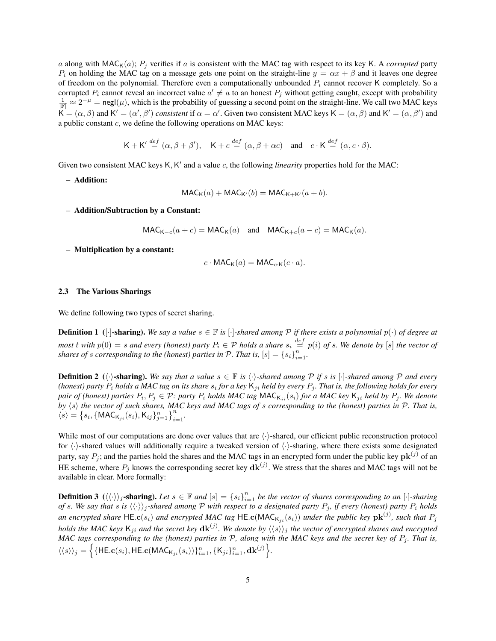a along with  $MAC_K(a)$ ;  $P_i$  verifies if a is consistent with the MAC tag with respect to its key K. A *corrupted* party  $P_i$  on holding the MAC tag on a message gets one point on the straight-line  $y = \alpha x + \beta$  and it leaves one degree of freedom on the polynomial. Therefore even a computationally unbounded  $P_i$  cannot recover K completely. So a corrupted  $P_i$  cannot reveal an incorrect value  $a' \neq a$  to an honest  $P_j$  without getting caught, except with probability  $\frac{1}{\mathbb{F}} \approx 2^{-\mu}$  = negl( $\mu$ ), which is the probability of guessing a second point on the straight-line. We call two MAC keys  $\mathsf{K}=(\alpha,\beta)$  and  $\mathsf{K}'=(\alpha',\beta')$  *consistent* if  $\alpha=\alpha'$ . Given two consistent MAC keys  $\mathsf{K}=(\alpha,\beta)$  and  $\mathsf{K}'=(\alpha,\beta')$  and a public constant  $c$ , we define the following operations on MAC keys:

$$
\mathsf{K} + \mathsf{K}' \stackrel{def}{=} (\alpha, \beta + \beta'), \quad \mathsf{K} + c \stackrel{def}{=} (\alpha, \beta + \alpha c) \quad \text{and} \quad c \cdot \mathsf{K} \stackrel{def}{=} (\alpha, c \cdot \beta).
$$

Given two consistent MAC keys  $K$ ,  $K'$  and a value  $c$ , the following *linearity* properties hold for the MAC:

– Addition:

$$
MAC_{K}(a) + MAC_{K'}(b) = MAC_{K+K'}(a+b).
$$

– Addition/Subtraction by a Constant:

$$
\mathsf{MAC}_{\mathsf{K}-c}(a+c) = \mathsf{MAC}_{\mathsf{K}}(a) \quad \text{and} \quad \mathsf{MAC}_{\mathsf{K}+c}(a-c) = \mathsf{MAC}_{\mathsf{K}}(a).
$$

– Multiplication by a constant:

$$
c \cdot \mathsf{MAC}_{\mathsf{K}}(a) = \mathsf{MAC}_{c \cdot \mathsf{K}}(c \cdot a).
$$

#### 2.3 The Various Sharings

We define following two types of secret sharing.

**Definition 1** ([ $\cdot$ ]-sharing). We say a value  $s \in \mathbb{F}$  is [ $\cdot$ ]-shared among P if there exists a polynomial  $p(\cdot)$  of degree at  $m$ ost  $t$  with  $p(0) = s$  and every (honest) party  $P_i \in \mathcal{P}$  holds a share  $s_i \stackrel{def}{=} p(i)$  of  $s$ . We denote by  $[s]$  the vector of *shares of s corresponding to the (honest) parties in P. That is,*  $[s] = \{s_i\}_{i=1}^n$ .

**Definition 2** ( $\langle \cdot \rangle$ -sharing). We say that a value  $s \in \mathbb{F}$  is  $\langle \cdot \rangle$ -shared among P if s is  $[\cdot]$ -shared among P and every (honest) party  $P_i$  holds a MAC tag on its share  $s_i$  for a key  $\mathsf{K}_{ji}$  held by every  $P_j.$  That is, the following holds for every pair of (honest) parties  $P_i, P_j \in \mathcal{P}$ : party  $P_i$  holds MAC tag MAC<sub>K<sub>ji</sub>(s<sub>i</sub>) for a MAC key K<sub>ji</sub> held by  $P_j$ . We denote</sub> *by*  $\langle s \rangle$  *the vector of such shares, MAC keys and MAC tags of s corresponding to the (honest) parties in* P. That is,  $\langle s \rangle = \left\{ s_i, \{ \text{MAC}_{\mathsf{K}_{ji}}(s_i), \mathsf{K}_{ij} \}_{j=1}^n \right\}_{i=1}^n.$ 

While most of our computations are done over values that are  $\langle \cdot \rangle$ -shared, our efficient public reconstruction protocol for  $\langle \cdot \rangle$ -shared values will additionally require a tweaked version of  $\langle \cdot \rangle$ -sharing, where there exists some designated party, say  $P_j$ ; and the parties hold the shares and the MAC tags in an encrypted form under the public key  $\mathbf{pk}^{(j)}$  of an HE scheme, where  $P_j$  knows the corresponding secret key  $d\mathbf{k}^{(j)}$ . We stress that the shares and MAC tags will not be available in clear. More formally:

**Definition 3**  $(\langle\langle\cdot\rangle\rangle_j$ -sharing). Let  $s \in \mathbb{F}$  and  $[s] = \{s_i\}_{i=1}^n$  be the vector of shares corresponding to an  $[\cdot]$ -sharing *of* s. We say that s is  $\langle \langle \cdot \rangle \rangle_j$ -shared among P with respect to a designated party  $P_j$ , if every (honest) party  $P_i$  holds an encrypted share  $\textsf{HE.c}(s_i)$  and encrypted MAC tag  $\textsf{HE.c}(\textsf{MAC}_{\mathsf{K}_{ji}}(s_i))$  under the public key  $\textbf{pk}^{(j)}$ , such that  $P_j$ holds the MAC keys  $K_{ji}$  and the secret key  $\bf{dk}^{(j)}$ . We denote by  $\langle\langle s\rangle\rangle_j$  the vector of encrypted shares and encrypted *MAC tags corresponding to the (honest) parties in*  $P$ *, along with the MAC keys and the secret key of*  $P_j$ *. That is,*  $\langle \langle s \rangle \rangle_j = \Big\{ \{\mathsf{HE}.\mathbf{c}(s_i), \mathsf{HE}.\mathbf{c}(\mathsf{MAC}_{\mathsf{K}_{ji}}(s_i))\}_{i=1}^n, \{\mathsf{K}_{ji}\}_{i=1}^n, \mathbf{dk}^{(j)} \Big\}.$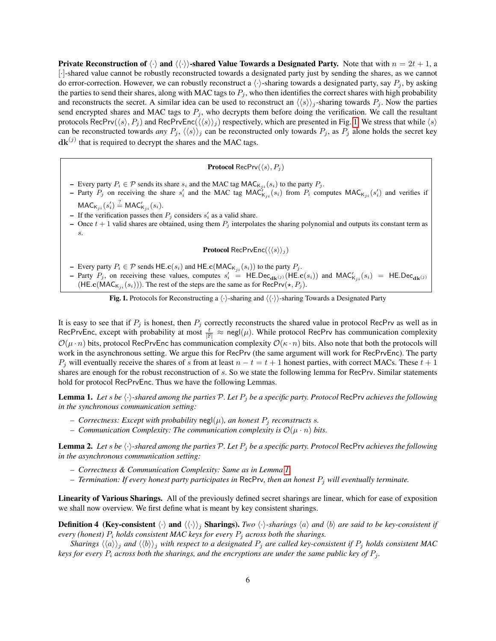**Private Reconstruction of**  $\langle \cdot \rangle$  **and**  $\langle \cdot \rangle$ **-shared Value Towards a Designated Party.** Note that with  $n = 2t + 1$ , a [·]-shared value cannot be robustly reconstructed towards a designated party just by sending the shares, as we cannot do error-correction. However, we can robustly reconstruct a  $\langle \cdot \rangle$ -sharing towards a designated party, say  $P_j$ , by asking the parties to send their shares, along with MAC tags to  $P_j$ , who then identifies the correct shares with high probability and reconstructs the secret. A similar idea can be used to reconstruct an  $\langle \langle s \rangle \rangle_i$ -sharing towards  $P_i$ . Now the parties send encrypted shares and MAC tags to  $P_i$ , who decrypts them before doing the verification. We call the resultant protocols RecPrv( $\langle s \rangle$ , P<sub>j</sub>) and RecPrvEnc( $\langle \langle s \rangle$ <sub>i</sub>) respectively, which are presented in Fig. [1.](#page-5-0) We stress that while  $\langle s \rangle$ can be reconstructed towards *any*  $P_j$ ,  $\langle \langle s \rangle \rangle_j$  can be reconstructed only towards  $P_j$ , as  $P_j$  alone holds the secret key  $dk^{(j)}$  that is required to decrypt the shares and the MAC tags.

### **Protocol** RecPrv $(\langle s \rangle, P_i)$

- Every party  $P_i \in \mathcal{P}$  sends its share  $s_i$  and the MAC tag MAC<sub>K<sub>ji</sub> ( $s_i$ ) to the party  $P_j$ .</sub>
- Party  $P_j$  on receiving the share  $s'_i$  and the MAC tag MAC $\zeta_{i,j}$  ( $s_i$ ) from  $P_i$  computes MAC $\kappa_{j,i}(s'_i)$  and verifies if  $\mathsf{MAC}_{\mathsf{K}_{ji}}(s'_i) \stackrel{?}{=} \mathsf{MAC}'_{\mathsf{K}_{ji}}(s_i).$
- If the verification passes then  $P_j$  considers  $s'_i$  as a valid share.
- Once  $t + 1$  valid shares are obtained, using them  $P_i$  interpolates the sharing polynomial and outputs its constant term as s.

### <span id="page-5-1"></span>**Protocol** RecPrvEnc $(\langle \langle s \rangle \rangle_j)$

- Every party  $P_i \in \mathcal{P}$  sends HE.c( $s_i$ ) and HE.c(MAC<sub>K<sub>ji</sub>( $s_i$ )) to the party  $P_j$ .</sub>
- Party  $P_j$ , on receiving these values, computes  $s'_i$  = HE.Dec<sub>dk</sub>(j) (HE.c(si)) and MAC $'_{k_{ji}}(s_i)$  = HE.Dec<sub>dk</sub>(j)  $(HE.c(MAC<sub>K<sub>ji</sub></sub>(s<sub>i</sub>)))$ . The rest of the steps are the same as for RecPrv( $\star$ ,  $P_j$ ).

<span id="page-5-0"></span>Fig. 1. Protocols for Reconstructing a  $\langle \cdot \rangle$ -sharing and  $\langle \langle \cdot \rangle \rangle$ -sharing Towards a Designated Party

It is easy to see that if  $P_j$  is honest, then  $P_j$  correctly reconstructs the shared value in protocol RecPrv as well as in RecPrvEnc, except with probability at most  $\frac{t}{\|\mathbb{F}\|} \approx$  negl( $\mu$ ). While protocol RecPrv has communication complexity  $\mathcal{O}(\mu \cdot n)$  bits, protocol RecPrvEnc has communication complexity  $\mathcal{O}(\kappa \cdot n)$  bits. Also note that both the protocols will work in the asynchronous setting. We argue this for RecPrv (the same argument will work for RecPrvEnc). The party  $P_j$  will eventually receive the shares of s from at least  $n - t = t + 1$  honest parties, with correct MACs. These  $t + 1$ shares are enough for the robust reconstruction of s. So we state the following lemma for RecPrv. Similar statements hold for protocol RecPrvEnc. Thus we have the following Lemmas.

**Lemma 1.** Let s be  $\langle \cdot \rangle$ -shared among the parties P. Let  $P_i$  be a specific party. Protocol RecPrv achieves the following *in the synchronous communication setting:*

- *– Correctness: Except with probability*  $\operatorname{negl}(\mu)$ *, an honest*  $P_i$  *reconstructs s.*
- *– Communication Complexity: The communication complexity is*  $\mathcal{O}(\mu \cdot n)$  *bits.*

**Lemma 2.** Let s be  $\langle \cdot \rangle$ -shared among the parties P. Let  $P_i$  be a specific party. Protocol RecPrv achieves the following *in the asynchronous communication setting:*

- *– Correctness & Communication Complexity: Same as in Lemma [1.](#page-5-1)*
- *– Termination: If every honest party participates in* RecPrv*, then an honest* P<sup>j</sup> *will eventually terminate.*

Linearity of Various Sharings. All of the previously defined secret sharings are linear, which for ease of exposition we shall now overview. We first define what is meant by key consistent sharings.

**Definition 4 (Key-consistent**  $\langle \cdot \rangle$  and  $\langle \langle \cdot \rangle \rangle$  Sharings). *Two*  $\langle \cdot \rangle$ -sharings  $\langle a \rangle$  and  $\langle b \rangle$  are said to be key-consistent if *every (honest)*  $P_i$  *holds consistent MAC keys for every*  $P_j$  *across both the sharings.* 

*Sharings*  $\langle \langle a \rangle \rangle_i$  *and*  $\langle \langle b \rangle \rangle_i$  *with respect to a designated*  $P_i$  *are called key-consistent if*  $P_i$  *holds consistent MAC keys for every*  $P_i$  *across both the sharings, and the encryptions are under the same public key of*  $P_i$ *.*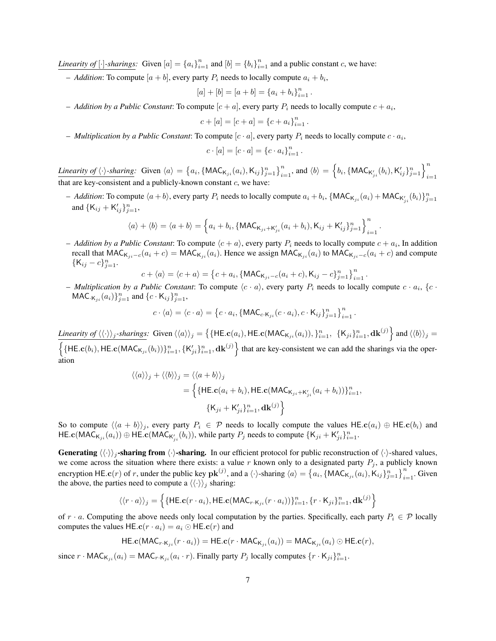*Linearity of*  $[\cdot]$ -*sharings*: Given  $[a] = \{a_i\}_{i=1}^n$  and  $[b] = \{b_i\}_{i=1}^n$  and a public constant c, we have:

 $-$  *Addition*: To compute  $[a + b]$ , every party  $P_i$  needs to locally compute  $a_i + b_i$ ,

$$
[a] + [b] = [a + b] = \{a_i + b_i\}_{i=1}^n.
$$

 $-$  Addition by a Public Constant: To compute  $[c + a]$ , every party  $P_i$  needs to locally compute  $c + a_i$ ,

$$
c + [a] = [c + a] = \{c + a_i\}_{i=1}^n.
$$

- *Multiplication by a Public Constant*: To compute  $[c \cdot a]$ , every party  $P_i$  needs to locally compute  $c \cdot a_i$ ,

$$
c \cdot [a] = [c \cdot a] = \{c \cdot a_i\}_{i=1}^n.
$$

*Linearity of*  $\langle \cdot \rangle$ -*sharing*: Given  $\langle a \rangle = \left\{ a_i, \{ \text{MAC}_{K_{ji}}(a_i), K_{ij} \}_{j=1}^n \right\}_{i=1}^n$ , and  $\langle b \rangle = \left\{ b_i, \{ \text{MAC}_{K'_{ji}}(b_i), K'_{ij} \}_{j=1}^n \right\}_{i=1}^n$ that are key-consistent and a publicly-known constant  $c$ , we have:

- Addition: To compute  $\langle a+b\rangle$ , every party  $P_i$  needs to locally compute  $a_i + b_i$ ,  $\{\textsf{MAC}_{\mathsf{K}_{ji}}(a_i) + \textsf{MAC}_{\mathsf{K}'_{ji}}(b_i)\}_{j=1}^n$ and  $\{K_{ij} + K'_{ij}\}_{j=1}^n$ ,

$$
\langle a \rangle + \langle b \rangle = \langle a+b \rangle = \Big\{a_i+b_i, \{\mathsf{MAC}_{\mathsf{K}_{ji}+\mathsf{K}'_{ji}}(a_i+b_i), \mathsf{K}_{ij}+\mathsf{K}'_{ij}\}_{j=1}^n\Big\}_{i=1}^n
$$

.

 $-$  Addition by a Public Constant: To compute  $\langle c + a \rangle$ , every party  $P_i$  needs to locally compute  $c + a_i$ , In addition recall that  $MAC_{K_{ji}-c}(a_i + c) = MAC_{K_{ji}}(a_i)$ . Hence we assign  $MAC_{K_{ji}}(a_i)$  to  $MAC_{K_{ji}-c}(a_i + c)$  and compute  $\{\mathsf{K}_{ij} - c\}_{j=1}^n$ .

$$
c + \langle a \rangle = \langle c + a \rangle = \{c + a_i, \{\text{MAC}_{K_{ji}-c}(a_i + c), K_{ij} - c\}_{j=1}^n\}_{i=1}^n.
$$

 $-$  *Multiplication by a Public Constant*: To compute  $\langle c \cdot a \rangle$ , every party  $P_i$  needs to locally compute  $c \cdot a_i$ ,  $\{c \cdot$ MAC. $K_{ji}(a_i) \}_{j=1}^n$  and  $\{c \cdot K_{ij}\}_{j=1}^n$ ,

$$
c \cdot \langle a \rangle = \langle c \cdot a \rangle = \left\{ c \cdot a_i, \{ \mathsf{MAC}_{c \cdot \mathsf{K}_{ji}}(c \cdot a_i), c \cdot \mathsf{K}_{ij} \right\}_{j=1}^n \right\}_{i=1}^n.
$$

*Linearity of*  $\langle \langle \cdot \rangle \rangle_j$ -sharings: Given  $\langle \langle a \rangle \rangle_j = \left\{ \{ \text{HE.c}(a_i), \text{HE.c}(\text{MAC}_{K_{ji}}(a_i)), \}_{i=1}^n, \ \{K_{ji}\}_{i=1}^n, \text{dk}^{(j)} \right\}$  and  $\langle \langle b \rangle \rangle_j =$  $\{H\in (b_i), H\in (MAC_{K_{ji}}(b_i))\}_{i=1}^n, \{K'_{ji}\}_{i=1}^n, \mathbf{dk}^{(j)}\}$  that are key-consistent we can add the sharings via the operation

$$
\langle \langle a \rangle \rangle_j + \langle \langle b \rangle \rangle_j = \langle \langle a + b \rangle \rangle_j
$$
  
= 
$$
\left\{ \{ \text{HE.c}(a_i + b_i), \text{HE.c}(\text{MAC}_{\mathsf{K}_{ji} + \mathsf{K}'_{ji}}(a_i + b_i)) \}_{i=1}^n, \right.
$$
  

$$
\left\{ \mathsf{K}_{ji} + \mathsf{K}'_{ji} \right\}_{i=1}^n, \mathbf{dk}^{(j)} \right\}
$$

So to compute  $\langle\langle a + b \rangle\rangle_j$ , every party  $P_i \in \mathcal{P}$  needs to locally compute the values HE.c( $a_i$ )  $\oplus$  HE.c( $b_i$ ) and HE.c(MAC<sub>K<sub>ji</sub> $(a_i)$ )  $\oplus$  HE.c(MAC<sub>K'<sub>ji</sub> $(b_i)$ ), while party  $P_j$  needs to compute  $\{K_{ji} + K'_{ji}\}_{i=1}^n$ .</sub></sub>

**Generating**  $\langle \langle \cdot \rangle \rangle_i$ -sharing from  $\langle \cdot \rangle$ -sharing. In our efficient protocol for public reconstruction of  $\langle \cdot \rangle$ -shared values, we come across the situation where there exists: a value r known only to a designated party  $P_j$ , a publicly known encryption HE.c(r) of r, under the public key  $\mathbf{pk}^{(j)}$ , and a  $\langle \cdot \rangle$ -sharing  $\langle a \rangle = \{a_i, \{\text{MAC}_{K_{ji}}(a_i), K_{ij}\}_{j=1}^n\}_{i=1}^n$ . Given the above, the parties need to compute a  $\langle \langle \cdot \rangle \rangle_j$  sharing:

$$
\langle \langle r \cdot a \rangle \rangle_j = \left\{ \{ \mathsf{HE}.\mathbf{c}(r \cdot a_i), \mathsf{HE}.\mathbf{c}(\mathsf{MAC}_{r \cdot \mathsf{K}_{ji}}(r \cdot a_i)) \}_{i=1}^n, \{ r \cdot \mathsf{K}_{ji} \}_{i=1}^n, \mathbf{dk}^{(j)} \right\}
$$

of r · a. Computing the above needs only local computation by the parties. Specifically, each party  $P_i \in \mathcal{P}$  locally computes the values HE.c( $r \cdot a_i$ ) =  $a_i \odot$  HE.c( $r$ ) and

$$
\mathsf{HE}.\mathbf{c}(\mathsf{MAC}_{r\cdot\mathsf{K}_{ji}}(r\cdot a_i)) = \mathsf{HE}.\mathbf{c}(r\cdot\mathsf{MAC}_{\mathsf{K}_{ji}}(a_i)) = \mathsf{MAC}_{\mathsf{K}_{ji}}(a_i) \odot \mathsf{HE}.\mathbf{c}(r),
$$

since  $r \cdot \textsf{MAC}_{\mathsf{K}_{ji}}(a_i) = \textsf{MAC}_{r \cdot \mathsf{K}_{ji}}(a_i \cdot r)$ . Finally party  $P_j$  locally computes  $\{r \cdot \mathsf{K}_{ji}\}_{i=1}^n$ .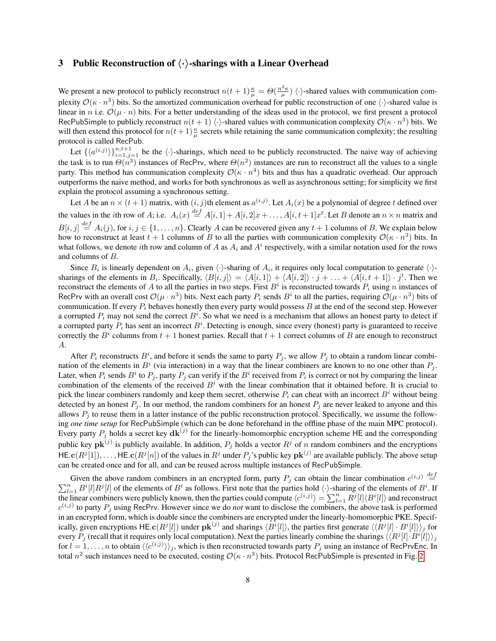### 3 Public Reconstruction of  $\langle \cdot \rangle$ -sharings with a Linear Overhead

We present a new protocol to publicly reconstruct  $n(t+1)\frac{\kappa}{\mu} = \Theta(\frac{n^2\kappa}{\mu})$   $\langle \cdot \rangle$ -shared values with communication complexity  $\mathcal{O}(\kappa \cdot n^3)$  bits. So the amortized communication overhead for public reconstruction of one  $\langle \cdot \rangle$ -shared value is linear in n i.e.  $\mathcal{O}(\mu \cdot n)$  bits. For a better understanding of the ideas used in the protocol, we first present a protocol RecPubSimple to publicly reconstruct  $n(t + 1) \langle \cdot \rangle$ -shared values with communication complexity  $\mathcal{O}(\kappa \cdot n^3)$  bits. We will then extend this protocol for  $n(t+1)\frac{\kappa}{\mu}$  secrets while retaining the same communication complexity; the resulting protocol is called RecPub.

Let  $\{\langle a^{(i,j)}\rangle\}_{i=1,j=1}^{n,t+1}$  be the  $\langle\cdot\rangle$ -sharings, which need to be publicly reconstructed. The naive way of achieving the task is to run  $\Theta(n^3)$  instances of RecPrv, where  $\Theta(n^2)$  instances are run to reconstruct all the values to a single party. This method has communication complexity  $\mathcal{O}(\kappa \cdot n^4)$  bits and thus has a quadratic overhead. Our approach outperforms the naive method, and works for both synchronous as well as asynchronous setting; for simplicity we first explain the protocol assuming a synchronous setting.

Let A be an  $n \times (t+1)$  matrix, with  $(i, j)$ th element as  $a^{(i,j)}$ . Let  $A_i(x)$  be a polynomial of degree t defined over the values in the *i*th row of A; i.e.  $A_i(x) \stackrel{def}{=} A[i,1] + A[i,2]x + \ldots, A[i,t+1]x^t$ . Let B denote an  $n \times n$  matrix and  $B[i, j] \stackrel{def}{=} A_i(j)$ , for  $i, j \in \{1, ..., n\}$ . Clearly A can be recovered given any  $t + 1$  columns of B. We explain below how to reconstruct at least  $t + 1$  columns of B to all the parties with communication complexity  $\mathcal{O}(\kappa \cdot n^3)$  bits. In what follows, we denote *i*th row and column of A as  $A_i$  and  $A^i$  respectively, with a similar notation used for the rows and columns of B.

Since  $B_i$  is linearly dependent on  $A_i$ , given  $\langle \cdot \rangle$ -sharing of  $A_i$ , it requires only local computation to generate  $\langle \cdot \rangle$ sharings of the elements in  $B_i$ . Specifically,  $\langle B[i, j] \rangle = \langle A[i, 1] \rangle + \langle A[i, 2] \rangle \cdot j + \ldots + \langle A[i, t + 1] \rangle \cdot j^t$ . Then we reconstruct the elements of A to all the parties in two steps. First  $B^i$  is reconstructed towards  $P_i$  using n instances of RecPrv with an overall cost  $\mathcal{O}(\mu \cdot n^3)$  bits. Next each party  $P_i$  sends  $B^i$  to all the parties, requiring  $\mathcal{O}(\mu \cdot n^3)$  bits of communication. If every  $P_i$  behaves honestly then every party would possess  $B$  at the end of the second step. However a corrupted  $P_i$  may not send the correct  $B^i$ . So what we need is a mechanism that allows an honest party to detect if a corrupted party  $P_i$  has sent an incorrect  $B^i$ . Detecting is enough, since every (honest) party is guaranteed to receive correctly the  $B^i$  columns from  $t + 1$  honest parties. Recall that  $t + 1$  correct columns of B are enough to reconstruct A.

After  $P_i$  reconstructs  $B^i$ , and before it sends the same to party  $P_j$ , we allow  $P_j$  to obtain a random linear combination of the elements in  $B^i$  (via interaction) in a way that the linear combiners are known to no one other than  $P_j$ . Later, when  $P_i$  sends  $B^i$  to  $P_j$ , party  $P_j$  can verify if the  $B^i$  received from  $P_i$  is correct or not by comparing the linear combination of the elements of the received  $B<sup>i</sup>$  with the linear combination that it obtained before. It is crucial to pick the linear combiners randomly and keep them secret, otherwise  $P_i$  can cheat with an incorrect  $B^i$  without being detected by an honest  $P_j$ . In our method, the random combiners for an honest  $P_j$  are never leaked to anyone and this allows  $P_i$  to reuse them in a latter instance of the public reconstruction protocol. Specifically, we assume the following *one time setup* for RecPubSimple (which can be done beforehand in the offline phase of the main MPC protocol). Every party  $P_j$  holds a secret key  $d\mathbf{k}^{(j)}$  for the linearly-homomorphic encryption scheme HE and the corresponding public key  $\mathbf{pk}^{(j)}$  is publicly available. In addition,  $P_j$  holds a vector  $R^j$  of n random combiners and the encryptions HE.c( $R^j[1]$ ),..., HE.c( $R^j[n]$ ) of the values in  $R^j$  under  $P_j$ 's public key  $\mathbf{pk}^{(j)}$  are available publicly. The above setup can be created once and for all, and can be reused across multiple instances of RecPubSimple.

Given the above random combiners in an encrypted form, party  $P_j$  can obtain the linear combination  $c^{(i,j)} \stackrel{def}{=} \sum_{l=1}^n B^i[l]R^j[l]$  of the elements of  $B^i$  as follows. First note that the parties hold  $\langle \cdot \rangle$ -sharing  $\prod_{l=1}^n B^i[l]R^j[l]$  of the elements of  $B^i$  as follows. First note that the parties hold  $\langle \cdot \rangle$ -sharing of the elements of  $B^i$ . If the linear combiners were publicly known, then the parties could compute  $\langle c^{(i,j)} \rangle = \sum_{l=1}^n R^j[l] \langle B^i[l] \rangle$  and reconstruct  $c^{(i,j)}$  to party  $P_j$  using RecPrv. However since we do *not* want to disclose the combiners, the above task is performed in an encrypted form, which is doable since the combiners are encrypted under the linearly-homomorphic PKE. Specifically, given encryptions HE.c $(R^j[l])$  under  $\mathbf{pk}^{(j)}$  and sharings  $\langle B^i[l] \rangle$ , the parties first generate  $\langle \langle R^j[l] \cdot B^i[l] \rangle \rangle_j$  for every  $P_j$  (recall that it requires only local computation). Next the parties linearly combine the sharings  $\langle\langle R^j[l]\cdot B^i[l]\rangle\rangle_j$ for  $l = 1, \ldots, n$  to obtain  $\langle\langle c^{(i,j)}\rangle\rangle_j$ , which is then reconstructed towards party  $P_j$  using an instance of RecPrvEnc. In total  $n^2$  such instances need to be executed, costing  $\mathcal{O}(\kappa \cdot n^3)$  bits. Protocol RecPubSimple is presented in Fig. [2.](#page-8-0)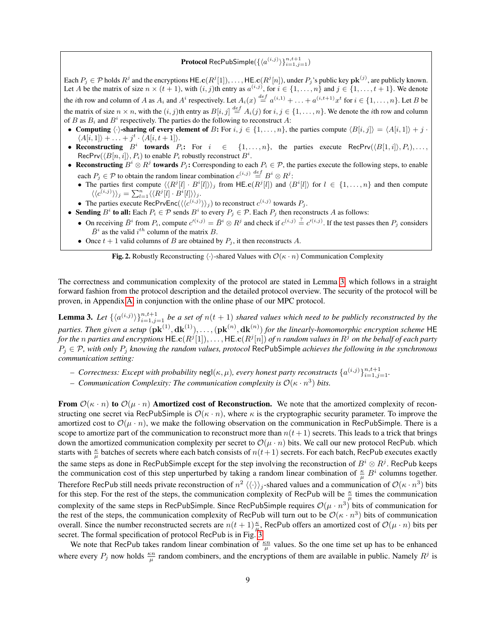## $\mathbf{Protocol}$  Rec $\mathsf{PubSimple}(\{\langle a^{(i,j)} \rangle\}_{i=1,j=1}^{n,t+1})$

Each  $P_j \in \mathcal{P}$  holds  $R^j$  and the encryptions  $\mathsf{HE.c}\,(R^j[1]),\ldots,\mathsf{HE.c}\,(R^j[n]),$  under  $P_j$ 's public key  $\mathbf{pk}^{(j)}$ , are publicly known. Let A be the matrix of size  $n \times (t+1)$ , with  $(i, j)$ th entry as  $a^{(i,j)}$ , for  $i \in \{1, \ldots, n\}$  and  $j \in \{1, \ldots, t+1\}$ . We denote the *i*th row and column of A as  $A_i$  and  $A^i$  respectively. Let  $A_i(x) \stackrel{def}{=} a^{(i,1)} + \ldots + a^{(i,t+1)}x^t$  for  $i \in \{1, \ldots, n\}$ . Let B be the matrix of size  $n \times n$ , with the  $(i, j)$ th entry as  $B[i, j] \stackrel{def}{=} A_i(j)$  for  $i, j \in \{1, ..., n\}$ . We denote the *i*th row and column of B as  $B_i$  and  $B^i$  respectively. The parties do the following to reconstruct A:

- Computing  $\langle \cdot \rangle$ -sharing of every element of B: For  $i, j \in \{1, ..., n\}$ , the parties compute  $\langle B[i, j] \rangle = \langle A[i, 1] \rangle + j \cdot j$  $\langle A[i,1]\rangle + \ldots + j^t \cdot \langle A[i, t+1]\rangle.$
- Reconstructing  $B^i$  towards  $P_i$ : For  $i \in \{1, ..., n\}$ , the parties execute RecPrv $(\langle B[1, i] \rangle, P_i), \ldots,$ RecPrv $(\langle B[n, i] \rangle, P_i)$  to enable  $P_i$  robustly reconstruct  $B^i$ .
- Reconstructing  $B^i \otimes R^j$  towards  $P_j$ : Corresponding to each  $P_i \in \mathcal{P}$ , the parties execute the following steps, to enable each  $P_j \in \mathcal{P}$  to obtain the random linear combination  $c^{(i,j)} \stackrel{def}{=} B^i \otimes R^j$ :
	- The parties first compute  $\langle \langle R^j[l] \cdot B^i[l] \rangle \rangle_j$  from HE.c( $R^j[l]$ ) and  $\langle B^i[l] \rangle$  for  $l \in \{1, \ldots, n\}$  and then compute  $\langle \langle c^{(i,j)} \rangle \rangle_j = \sum_{l=1}^n \langle \langle R^j[l] \cdot B^i[l] \rangle \rangle_j.$
	- The parties execute RecPrvEnc $(\langle \langle c^{(i,j)} \rangle \rangle_j)$  to reconstruct  $c^{(i,j)}$  towards  $P_j$ .
- Sending  $B^i$  to all: Each  $P_i \in \mathcal{P}$  sends  $B^i$  to every  $P_j \in \mathcal{P}$ . Each  $P_j$  then reconstructs A as follows:
- On receiving  $\overline{B}^i$  from  $P_i$ , compute  $c'^{(i,j)} = \overline{B}^i \otimes R^j$  and check if  $c^{(i,j)} \stackrel{?}{=} c'^{(i,j)}$ . If the test passes then  $P_j$  considers  $\bar{B}^i$  as the valid  $i^{th}$  column of the matrix B.
	- Once  $t + 1$  valid columns of B are obtained by  $P_j$ , it then reconstructs A.

<span id="page-8-1"></span><span id="page-8-0"></span>**Fig. 2.** Robustly Reconstructing  $\langle \cdot \rangle$ -shared Values with  $\mathcal{O}(\kappa \cdot n)$  Communication Complexity

The correctness and communication complexity of the protocol are stated in Lemma [3,](#page-8-1) which follows in a straight forward fashion from the protocol description and the detailed protocol overview. The security of the protocol will be proven, in Appendix [A,](#page-14-4) in conjunction with the online phase of our MPC protocol.

**Lemma 3.** Let  $\{\langle a^{(i,j)}\rangle\}_{i=1,j=1}^{n,t+1}$  be a set of  $n(t+1)$  shared values which need to be publicly reconstructed by the parties. Then given a setup  $(\mathbf{pk}^{(1)}, \mathbf{dk}^{(1)}), \ldots, (\mathbf{pk}^{(n)}, \mathbf{dk}^{(n)})$  for the linearly-homomorphic encryption scheme HE for the  $n$  parties and encryptions  $\mathsf{HE}.\mathbf{c}(R^j[1]),\ldots,\mathsf{HE}.\mathbf{c}(R^j[n])$  of  $n$  random values in  $R^j$  on the behalf of each party P<sup>j</sup> ∈ P*, with only* P<sup>j</sup> *knowing the random values, protocol* RecPubSimple *achieves the following in the synchronous communication setting:*

- *Correctness: Except with probability*  $\text{negl}(\kappa, \mu)$ , every honest party reconstructs  $\{a^{(i,j)}\}_{i=1,j=1}^{n,t+1}$ .
- *Communication Complexity: The communication complexity is*  $\mathcal{O}(\kappa \cdot n^3)$  *bits.*

From  $\mathcal{O}(\kappa \cdot n)$  to  $\mathcal{O}(\mu \cdot n)$  Amortized cost of Reconstruction. We note that the amortized complexity of reconstructing one secret via RecPubSimple is  $\mathcal{O}(\kappa \cdot n)$ , where  $\kappa$  is the cryptographic security parameter. To improve the amortized cost to  $\mathcal{O}(\mu \cdot n)$ , we make the following observation on the communication in RecPubSimple. There is a scope to amortize part of the communication to reconstruct more than  $n(t+1)$  secrets. This leads to a trick that brings down the amortized communication complexity per secret to  $\mathcal{O}(\mu \cdot n)$  bits. We call our new protocol RecPub. which starts with  $\frac{\kappa}{\mu}$  batches of secrets where each batch consists of  $n(t+1)$  secrets. For each batch, RecPub executes exactly the same steps as done in RecPubSimple except for the step involving the reconstruction of  $B^i \otimes R^j$ . RecPub keeps the communication cost of this step unperturbed by taking a random linear combination of  $\frac{\kappa}{\mu} B^i$  columns together. Therefore RecPub still needs private reconstruction of  $n^2 \langle\langle\cdot\rangle\rangle_j$ -shared values and a communication of  $\mathcal{O}(\kappa\cdot n^3)$  bits for this step. For the rest of the steps, the communication complexity of RecPub will be  $\frac{\kappa}{\mu}$  times the communication complexity of the same steps in RecPubSimple. Since RecPubSimple requires  $\mathcal{O}(\mu \cdot n^3)$  bits of communication for the rest of the steps, the communication complexity of RecPub will turn out to be  $\mathcal{O}(\kappa \cdot n^3)$  bits of communication overall. Since the number reconstructed secrets are  $n(t+1)\frac{\kappa}{\mu}$ , RecPub offers an amortized cost of  $\mathcal{O}(\mu \cdot n)$  bits per secret. The formal specification of protocol RecPub is in Fig. [3.](#page-9-0)

We note that RecPub takes random linear combination of  $\frac{\kappa n}{\mu}$  values. So the one time set up has to be enhanced where every  $P_j$  now holds  $\frac{\kappa n}{\mu}$  random combiners, and the encryptions of them are available in public. Namely  $R^j$  is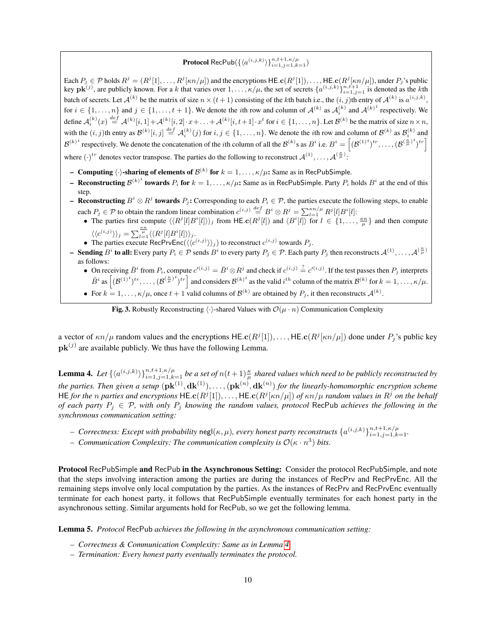# $\textbf{Protocol} \ \mathsf{RecPub}(\{\langle a^{(i,j,k)} \rangle\}_{i=1,j=1,k=1}^{n,t+1,\kappa/\mu})$

Each  $P_j \in \mathcal{P}$  holds  $R^j = (R^j[1], \ldots, R^j[\kappa n/\mu])$  and the encryptions  $\mathsf{HE}.\mathbf{c}(R^j[1]), \ldots, \mathsf{HE}.\mathbf{c}(R^j[\kappa n/\mu])$ , under  $P_j$ 's public key  $\mathbf{pk}^{(j)}$ , are publicly known. For a k that varies over  $1, \ldots, \kappa/\mu$ , the set of secrets  $\{a^{(i,j,k)}\}_{i=1,j=1}^{n,t+1}$  is denoted as the kth batch of secrets. Let  $\mathcal{A}^{(k)}$  be the matrix of size  $n \times (t+1)$  consisting of the kth batch i.e., the  $(i, j)$ th entry of  $\mathcal{A}^{(k)}$  is  $a^{(i,j,k)}$ , for  $i \in \{1, \ldots, n\}$  and  $j \in \{1, \ldots, t+1\}$ . We denote the *i*th row and column of  $\mathcal{A}^{(k)}$  as  $\mathcal{A}_i^{(k)}$  and  $\mathcal{A}^{(k)i}$  respectively. We define  $\mathcal{A}_i^{(k)}(x) \stackrel{def}{=} \mathcal{A}^{(k)}[i,1] + \mathcal{A}^{(k)}[i,2] \cdot x + \ldots + \mathcal{A}^{(k)}[i,t+1] \cdot x^t$  for  $i \in \{1, \ldots, n\}$ . Let  $\mathcal{B}^{(k)}$  be the matrix of size  $n \times n$ , with the  $(i, j)$ th entry as  $\mathcal{B}^{(k)}[i, j] \stackrel{def}{=} \mathcal{A}_i^{(k)}(j)$  for  $i, j \in \{1, ..., n\}$ . We denote the *i*th row and column of  $\mathcal{B}^{(k)}$  as  $\mathcal{B}_i^{(k)}$  and  $\mathcal{B}^{(k)i}$  respectively. We denote the concatenation of the *i*th column of all the  $\mathcal{B}^{(k)}$ s as  $B^i$  i.e.  $B^i = \left[ (\mathcal{B}^{(1)i})^{tr}, \ldots, (\mathcal{B}^{(\frac{\kappa}{\mu})i})^{tr} \right]$ where  $(\cdot)^{tr}$  denotes vector transpose. The parties do the following to reconstruct  $\mathcal{A}^{(1)}, \ldots, \mathcal{A}^{(\frac{\kappa}{\mu})}$ :

- **Computing**  $\langle \cdot \rangle$ -sharing of elements of  $\mathcal{B}^{(k)}$  for  $k = 1, \ldots, \kappa/\mu$ : Same as in RecPubSimple.
- **Reconstructing**  $\mathcal{B}^{(k)i}$  towards  $P_i$  for  $k = 1, ..., \kappa/\mu$ : Same as in RecPubSimple. Party  $P_i$  holds  $B^i$  at the end of this step.
- **Reconstructing**  $B^i \otimes R^j$  **towards**  $P_j$ : Corresponding to each  $P_i \in \mathcal{P}$ , the parties execute the following steps, to enable each  $P_j \in \mathcal{P}$  to obtain the random linear combination  $c^{(i,j)} \stackrel{def}{=} B^i \otimes R^j = \sum_{l=1}^{\kappa n/\mu} R^j[l] B^i[l]$ :
	- The parties first compute  $\langle R^j[l]B^i[l]\rangle$  from HE.c( $R^j[l]$ ) and  $\langle B^i[l]\rangle$  for  $l \in \{1, \ldots, \frac{\kappa n}{\mu}\}$  and then compute  $\langle \langle c^{(i,j)} \rangle \rangle_j = \sum_{l=1}^{\frac{\kappa n}{\mu}} \langle \langle R^j[l] B^i[l] \rangle \rangle_j.$
	- The parties execute RecPrvEnc( $\langle \langle c^{(i,j)} \rangle \rangle_j$ ) to reconstruct  $c^{(i,j)}$  towards  $P_j$ .
- **Sending**  $B^i$  to all: Every party  $P_i \in \mathcal{P}$  sends  $B^i$  to every party  $P_j \in \mathcal{P}$ . Each party  $P_j$  then reconstructs  $\mathcal{A}^{(1)}, \ldots, \mathcal{A}^{(\frac{\kappa}{\mu})}$ as follows:
	- On receiving  $\overline{B}^i$  from  $P_i$ , compute  $c'^{(i,j)} = \overline{B}^i \otimes R^j$  and check if  $c^{(i,j)} \stackrel{?}{=} c'^{(i,j)}$ . If the test passes then  $P_j$  interprets  $\bar{B}^i$  as  $[(\mathcal{B}^{(1)}^i)^{tr}, \ldots, (\mathcal{B}^{(\frac{\kappa}{\mu})^i})^{tr}]$  and considers  $\mathcal{B}^{(k)i}$  as the valid  $i^{th}$  column of the matrix  $\mathcal{B}^{(k)}$  for  $k = 1, \ldots, \kappa/\mu$ .
	- For  $k = 1, ..., \kappa/\mu$ , once  $t + 1$  valid columns of  $\mathcal{B}^{(k)}$  are obtained by  $P_j$ , it then reconstructs  $\mathcal{A}^{(k)}$ .

<span id="page-9-0"></span>Fig. 3. Robustly Reconstructing  $\langle \cdot \rangle$ -shared Values with  $\mathcal{O}(\mu \cdot n)$  Communication Complexity

a vector of  $\kappa n/\mu$  random values and the encryptions HE.c( $R^j[1]$ ),..., HE.c( $R^j[\kappa n/\mu]$ ) done under  $P_j$ 's public key  $\mathbf{pk}^{(j)}$  are available publicly. We thus have the following Lemma.

<span id="page-9-1"></span>**Lemma 4.** Let  $\{\langle a^{(i,j,k)}\rangle\}_{i=1,j=1,k=1}^{n,t+1,\kappa/\mu}$  be a set of  $n(t+1)\frac{\kappa}{\mu}$  shared values which need to be publicly reconstructed by the parties. Then given a setup  $(\mathbf{pk}^{(1)}, \mathbf{dk}^{(1)}), \ldots, (\mathbf{pk}^{(n)}, \mathbf{dk}^{(n)})$  for the linearly-homomorphic encryption scheme HE for the *n* parties and encryptions HE.c( $R^j[1]$ ),..., HE.c( $R^j[\kappa n/\mu]$ ) of  $\kappa n/\mu$  random values in  $R^j$  on the behalf *of each party*  $P_i \in \mathcal{P}$ , with only  $P_i$  knowing the random values, protocol RecPub achieves the following in the *synchronous communication setting:*

- *Correctness: Except with probability*  $\text{negl}(\kappa, \mu)$ , every honest party reconstructs  $\{a^{(i,j,k)}\}_{i=1,j=1,k=1}^{n,t+1,\kappa/\mu}$ .
- *– Communication Complexity: The communication complexity is*  $\mathcal{O}(\kappa \cdot n^3)$  *bits.*

Protocol RecPubSimple and RecPub in the Asynchronous Setting: Consider the protocol RecPubSimple, and note that the steps involving interaction among the parties are during the instances of RecPrv and RecPrvEnc. All the remaining steps involve only local computation by the parties. As the instances of RecPrv and RecPrvEnc eventually terminate for each honest party, it follows that RecPubSimple eventually terminates for each honest party in the asynchronous setting. Similar arguments hold for RecPub, so we get the following lemma.

Lemma 5. *Protocol* RecPub *achieves the following in the asynchronous communication setting:*

- *– Correctness & Communication Complexity: Same as in Lemma [4](#page-9-1)*
- *– Termination: Every honest party eventually terminates the protocol.*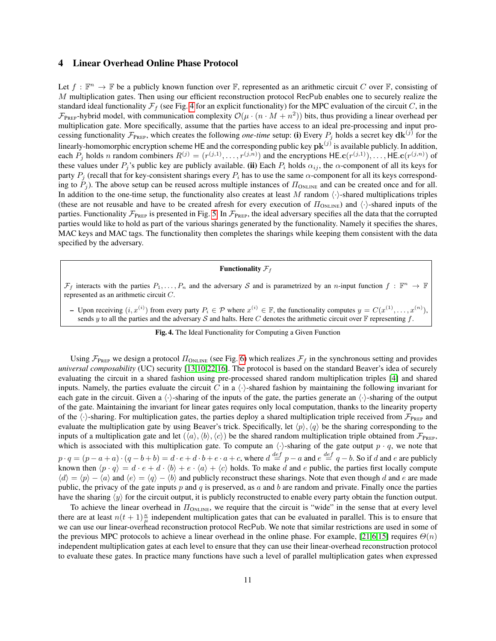## 4 Linear Overhead Online Phase Protocol

Let  $f : \mathbb{F}^n \to \mathbb{F}$  be a publicly known function over  $\mathbb{F}$ , represented as an arithmetic circuit C over  $\mathbb{F}$ , consisting of M multiplication gates. Then using our efficient reconstruction protocol RecPub enables one to securely realize the standard ideal functionality  $\mathcal{F}_f$  (see Fig. [4](#page-10-0) for an explicit functionality) for the MPC evaluation of the circuit C, in the  $\mathcal{F}_{\text{PREF}}$ -hybrid model, with communication complexity  $\mathcal{O}(\mu \cdot (n \cdot M + n^2))$  bits, thus providing a linear overhead per multiplication gate. More specifically, assume that the parties have access to an ideal pre-processing and input processing functionality  $\mathcal{F}_{\text{PREF}}$ , which creates the following *one-time* setup: (i) Every  $P_j$  holds a secret key  $d\mathbf{k}^{(j)}$  for the linearly-homomorphic encryption scheme HE and the corresponding public key  $\mathbf{pk}^{(j)}$  is available publicly. In addition, each  $P_j$  holds n random combiners  $R^{(j)} = (r^{(j,1)}, \dots, r^{(j,n)})$  and the encryptions  $\textsf{HE}.\textbf{c}(r^{(j,1)}), \dots, \textsf{HE}.\textbf{c}(r^{(j,n)})$  of these values under  $P_i$ 's public key are publicly available. (ii) Each  $P_i$  holds  $\alpha_{ij}$ , the  $\alpha$ -component of all its keys for party  $P_i$  (recall that for key-consistent sharings every  $P_i$  has to use the same  $\alpha$ -component for all its keys corresponding to  $P_i$ ). The above setup can be reused across multiple instances of  $\Pi_{\text{ONLINE}}$  and can be created once and for all. In addition to the one-time setup, the functionality also creates at least M random  $\langle \cdot \rangle$ -shared multiplications triples (these are not reusable and have to be created afresh for every execution of  $\Pi_{\text{ONLINE}}$ ) and  $\langle \cdot \rangle$ -shared inputs of the parties. Functionality  $\mathcal{F}_{PREF}$  is presented in Fig. [5.](#page-11-0) In  $\mathcal{F}_{PREF}$ , the ideal adversary specifies all the data that the corrupted parties would like to hold as part of the various sharings generated by the functionality. Namely it specifies the shares, MAC keys and MAC tags. The functionality then completes the sharings while keeping them consistent with the data specified by the adversary.

### Functionality  $\mathcal{F}_f$

 $\mathcal{F}_f$  interacts with the parties  $P_1,\ldots,P_n$  and the adversary S and is parametrized by an n-input function  $f: \mathbb{F}^n \to \mathbb{F}$ represented as an arithmetic circuit C.

- Upon receiving  $(i, x^{(i)})$  from every party  $P_i \in \mathcal{P}$  where  $x^{(i)} \in \mathbb{F}$ , the functionality computes  $y = C(x^{(1)}, \dots, x^{(n)})$ , sends y to all the parties and the adversary S and halts. Here C denotes the arithmetic circuit over  $\mathbb F$  representing f.

<span id="page-10-0"></span>Fig. 4. The Ideal Functionality for Computing a Given Function

Using  $\mathcal{F}_{\text{PREF}}$  we design a protocol  $\Pi_{\text{ONLINE}}$  (see Fig. [6\)](#page-12-0) which realizes  $\mathcal{F}_f$  in the synchronous setting and provides *universal composability* (UC) security [\[13](#page-13-18)[,10](#page-13-9)[,22](#page-13-4)[,16\]](#page-13-19). The protocol is based on the standard Beaver's idea of securely evaluating the circuit in a shared fashion using pre-processed shared random multiplication triples [\[4\]](#page-13-2) and shared inputs. Namely, the parties evaluate the circuit C in a  $\langle \cdot \rangle$ -shared fashion by maintaining the following invariant for each gate in the circuit. Given a  $\langle \cdot \rangle$ -sharing of the inputs of the gate, the parties generate an  $\langle \cdot \rangle$ -sharing of the output of the gate. Maintaining the invariant for linear gates requires only local computation, thanks to the linearity property of the  $\langle \cdot \rangle$ -sharing. For multiplication gates, the parties deploy a shared multiplication triple received from  $\mathcal{F}_{P_{REP}}$  and evaluate the multiplication gate by using Beaver's trick. Specifically, let  $\langle p \rangle$ ,  $\langle q \rangle$  be the sharing corresponding to the inputs of a multiplication gate and let  $(\langle a\rangle,\langle b\rangle,\langle c\rangle)$  be the shared random multiplication triple obtained from  $\mathcal{F}_{PREF}$ , which is associated with this multiplication gate. To compute an  $\langle \cdot \rangle$ -sharing of the gate output  $p \cdot q$ , we note that  $p \cdot q = (p - a + a) \cdot (q - b + b) = d \cdot e + d \cdot b + e \cdot a + c$ , where  $d \stackrel{def}{=} p - a$  and  $e \stackrel{def}{=} q - b$ . So if d and e are publicly known then  $\langle p \cdot q \rangle = d \cdot e + d \cdot \langle b \rangle + e \cdot \langle a \rangle + \langle c \rangle$  holds. To make d and e public, the parties first locally compute  $\langle d \rangle = \langle p \rangle - \langle a \rangle$  and  $\langle e \rangle = \langle q \rangle - \langle b \rangle$  and publicly reconstruct these sharings. Note that even though d and e are made public, the privacy of the gate inputs p and q is preserved, as a and b are random and private. Finally once the parties have the sharing  $\langle y \rangle$  for the circuit output, it is publicly reconstructed to enable every party obtain the function output.

To achieve the linear overhead in  $\Pi_{\text{ONLINE}}$ , we require that the circuit is "wide" in the sense that at every level there are at least  $n(t + 1)\frac{\kappa}{\mu}$  independent multiplication gates that can be evaluated in parallel. This is to ensure that we can use our linear-overhead reconstruction protocol RecPub. We note that similar restrictions are used in some of the previous MPC protocols to achieve a linear overhead in the online phase. For example, [\[21](#page-13-5)[,6](#page-13-8)[,15\]](#page-13-20) requires  $\Theta(n)$ independent multiplication gates at each level to ensure that they can use their linear-overhead reconstruction protocol to evaluate these gates. In practice many functions have such a level of parallel multiplication gates when expressed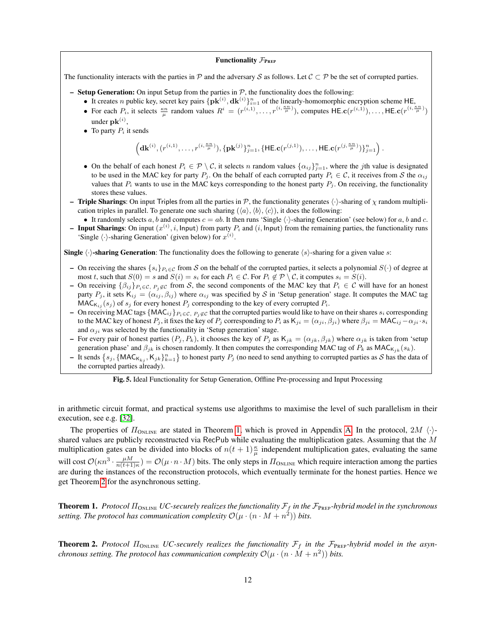### Functionality  $\mathcal{F}_{\text{PREF}}$

The functionality interacts with the parties in P and the adversary S as follows. Let  $C \subset P$  be the set of corrupted parties.

- Setup Generation: On input Setup from the parties in  $P$ , the functionality does the following:
	- It creates *n* public key, secret key pairs  $\{pk^{(i)}, dk^{(i)}\}_{i=1}^n$  of the linearly-homomorphic encryption scheme HE,
	- For each  $P_i$ , it selects  $\frac{\kappa n}{\mu}$  random values  $R^i = (r^{(i,1)}, \ldots, r^{(i, \frac{\kappa n}{\mu})})$ , computes  $\textsf{HE.c}(r^{(i,1)}), \ldots, \textsf{HE.c}(r^{(i, \frac{\kappa n}{\mu})})$ under  $\mathbf{pk}^{(i)}$ ,
	- To party  $P_i$  it sends

$$
\left(\mathbf{dk}^{(i)},(r^{(i,1)},\ldots,r^{(i,\frac{\kappa n}{\mu})}),\{\mathbf{pk}^{(j)}\}_{j=1}^n,\{\mathsf{HE}.\mathbf{c}(r^{(j,1)}),\ldots,\mathsf{HE}.\mathbf{c}(r^{(j,\frac{\kappa n}{\mu})})\}_{j=1}^n\right).
$$

- On the behalf of each honest  $P_i \in \mathcal{P} \setminus \mathcal{C}$ , it selects n random values  $\{\alpha_{ij}\}_{j=1}^n$ , where the jth value is designated to be used in the MAC key for party  $P_i$ . On the behalf of each corrupted party  $P_i \in C$ , it receives from S the  $\alpha_{ij}$ values that  $P_i$  wants to use in the MAC keys corresponding to the honest party  $P_i$ . On receiving, the functionality stores these values.
- Triple Sharings: On input Triples from all the parties in  $P$ , the functionality generates  $\langle \cdot \rangle$ -sharing of  $\chi$  random multiplication triples in parallel. To generate one such sharing  $(\langle a \rangle, \langle b \rangle, \langle c \rangle)$ , it does the following:
- It randomly selects a, b and computes  $c = ab$ . It then runs 'Single  $\langle \cdot \rangle$ -sharing Generation' (see below) for a, b and c. **- Input Sharings**: On input  $(x^{(i)}, i, \text{Input})$  from party  $P_i$  and  $(i, \text{Input})$  from the remaining parties, the functionality runs 'Single  $\langle \cdot \rangle$ -sharing Generation' (given below) for  $x^{(i)}$ .

**Single**  $\langle \cdot \rangle$ -sharing Generation: The functionality does the following to generate  $\langle s \rangle$ -sharing for a given value s:

- On receiving the shares  $\{s_i\}_{i \in \mathcal{C}}$  from S on the behalf of the corrupted parties, it selects a polynomial  $S(\cdot)$  of degree at most t, such that  $S(0) = s$  and  $S(i) = s_i$  for each  $P_i \in \mathcal{C}$ . For  $P_i \notin \mathcal{P} \setminus \mathcal{C}$ , it computes  $s_i = S(i)$ .
- On receiving  $\{\beta_{ij}\}_{P_i \in \mathcal{C}, P_j \notin \mathcal{C}}$  from S, the second components of the MAC key that  $P_i \in \mathcal{C}$  will have for an honest party  $P_j$ , it sets  $K_{ij} = (\alpha_{ij}, \beta_{ij})$  where  $\alpha_{ij}$  was specified by S in 'Setup generation' stage. It computes the MAC tag  $MAC_{K_{ij}}(s_j)$  of  $s_j$  for every honest  $P_j$  corresponding to the key of every corrupted  $P_i$ .
- On receiving MAC tags {MAC<sub>ij</sub>} $P_i \in \mathcal{C}$ ,  $P_i \notin \mathcal{C}$  that the corrupted parties would like to have on their shares  $s_i$  corresponding to the MAC key of honest  $P_j$ , it fixes the key of  $P_j$  corresponding to  $P_i$  as  $K_{ji} = (\alpha_{ji}, \beta_{ji})$  where  $\beta_{ji} = \text{MAC}_{ij} - \alpha_{ji} \cdot s_i$ and  $\alpha_{ji}$  was selected by the functionality in 'Setup generation' stage.
- For every pair of honest parties  $(P_i, P_k)$ , it chooses the key of  $P_i$  as  $K_{ik} = (\alpha_{ik}, \beta_{ik})$  where  $\alpha_{ik}$  is taken from 'setup generation phase' and  $\beta_{jk}$  is chosen randomly. It then computes the corresponding MAC tag of  $P_k$  as MAC<sub>K<sub>ik</sub> (s<sub>k</sub>).</sub>
- It sends  $\{s_j, \{\text{MAC}_{K_{kj}}, K_{jk}\}_{k=1}^n\}$  to honest party  $P_j$  (no need to send anything to corrupted parties as S has the data of the corrupted parties already).

<span id="page-11-1"></span><span id="page-11-0"></span>Fig. 5. Ideal Functionality for Setup Generation, Offline Pre-processing and Input Processing

in arithmetic circuit format, and practical systems use algorithms to maximise the level of such parallelism in their execution, see e.g. [\[32\]](#page-14-5).

The properties of  $\Pi_{\text{ONLINE}}$  are stated in Theorem [1,](#page-11-1) which is proved in Appendix [A.](#page-14-4) In the protocol,  $2M \langle \cdot \rangle$ shared values are publicly reconstructed via RecPub while evaluating the multiplication gates. Assuming that the  $M$ multiplication gates can be divided into blocks of  $n(t + 1)\frac{\kappa}{\mu}$  independent multiplication gates, evaluating the same will cost  $\mathcal{O}(\kappa n^3 \cdot \frac{\mu M}{n(t+1)\kappa}) = \mathcal{O}(\mu \cdot n \cdot M)$  bits. The only steps in  $\Pi_{\text{ONLINE}}$  which require interaction among the parties are during the instances of the reconstruction protocols, which eventually terminate for the honest parties. Hence we get Theorem [2](#page-11-2) for the asynchronous setting.

**Theorem 1.** *Protocol*  $\Pi_{\text{ONLINE}}$  *UC-securely realizes the functionality*  $\mathcal{F}_f$  *in the*  $\mathcal{F}_{\text{PREF}}$ *-hybrid model in the synchronous* setting. The protocol has communication complexity  $\mathcal{O}(\mu \cdot (n \cdot M + n^2))$  bits.

<span id="page-11-2"></span>**Theorem 2.** Protocol  $\Pi_{\text{ONLINE}}$  *UC-securely realizes the functionality*  $\mathcal{F}_f$  *in the*  $\mathcal{F}_{\text{PRED}}$ *-hybrid model in the asynchronous setting. The protocol has communication complexity*  $\mathcal{O}(\mu \cdot (n \cdot M + n^2))$  *bits.*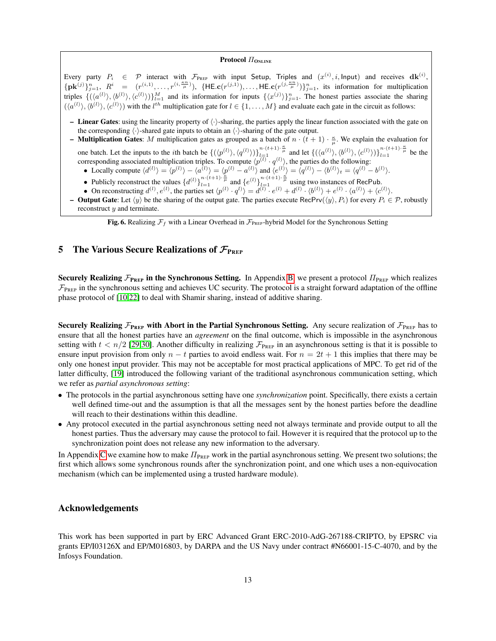### **Protocol**  $\Pi_{\text{ONLNE}}$

Every party  $P_i \in \mathcal{P}$  interact with  $\mathcal{F}_{\text{PREF}}$  with input Setup, Triples and  $(x^{(i)}, i, \text{Input})$  and receives  $\mathbf{dk}^{(i)}$ ,  $\{ {\bf pk}^{(j)} \}_{j=1}^n$ ,  $R^i = (r^{(i,1)}, \ldots, r^{(i, \frac{\kappa n}{\mu})})$ ,  $\{ {\sf HE. c}(r^{(j,1)}, \ldots, {\sf HE. c}(r^{(j, \frac{\kappa n}{\mu})}) \}_{j=1}^n$ , its information for multiplication triples  $\{\langle \langle a^{(l)} \rangle, \langle b^{(l)} \rangle, \langle c^{(l)} \rangle \} \}_{l=1}^M$  and its information for inputs  $\{\langle x^{(j)} \rangle \}_{j=1}^n$ . The honest parties associate the sharing  $(\langle a^{(l)} \rangle, \langle b^{(l)} \rangle, \langle c^{(l)} \rangle)$  with the  $l^{th}$  multiplication gate for  $l \in \{1, ..., M\}$  and evaluate each gate in the circuit as follows:

- Linear Gates: using the linearity property of  $\langle \cdot \rangle$ -sharing, the parties apply the linear function associated with the gate on the corresponding  $\langle \cdot \rangle$ -shared gate inputs to obtain an  $\langle \cdot \rangle$ -sharing of the gate output.
- **Multiplication Gates:** M multiplication gates as grouped as a batch of  $n \cdot (t+1) \cdot \frac{\kappa}{n}$ . We explain the evaluation for  $\mu$ one batch. Let the inputs to the *i*th batch be  $\{(\langle p^{(l)} \rangle, \langle q^{(l)} \rangle)\}_{l=1}^n \underset{\rho}{\longrightarrow}$  and let  $\{(\langle a^{(l)} \rangle, \langle b^{(l)} \rangle, \langle c^{(l)} \rangle)\}_{l=1}^n \overset{n \cdot (t+1) \cdot \frac{\kappa}{\mu}}{\longrightarrow}$  be the corresponding associated multiplication triples. To compute  $\langle p^{(l)} \cdot q^{(l)} \rangle$ , the parties do the following:
	- Locally compute  $\langle d^{(l)} \rangle = \langle p^{(l)} \rangle \langle a^{(l)} \rangle = \langle p^{(l)} a^{(l)} \rangle$  and  $\langle e^{(l)} \rangle = \langle q^{(l)} \rangle \langle b^{(l)} \rangle_t = \langle q^{(l)} b^{(l)} \rangle$ .
	- Publicly reconstruct the values  $\{d^{(l)}\}_{l=1}^{n \cdot (t+1) \cdot \frac{\kappa}{\mu}}$  and  $\{e^{(l)}\}_{l=1}^{n \cdot (t+1) \cdot \frac{\kappa}{\mu}}$  using two instances of RecPub.
	- On reconstructing  $d^{(1)}, e^{(1)},$  the parties set  $\langle p^{(1)} \cdot q^{(1)} \rangle = d^{(1)} \cdot e^{(1)} + d^{(1)} \cdot \langle b^{(1)} \rangle + e^{(1)} \cdot \langle a^{(1)} \rangle + \langle c^{(1)} \rangle$ .
- **Output Gate:** Let  $\langle y \rangle$  be the sharing of the output gate. The parties execute RecPrv( $\langle y \rangle$ ,  $P_i$ ) for every  $P_i \in \mathcal{P}$ , robustly reconstruct  $y$  and terminate.

<span id="page-12-0"></span>Fig. 6. Realizing  $\mathcal{F}_f$  with a Linear Overhead in  $\mathcal{F}_{\text{PREF}}$ -hybrid Model for the Synchronous Setting

## 5 The Various Secure Realizations of  $\mathcal{F}_{\text{PREF}}$

Securely Realizing  $\mathcal{F}_{\text{PREF}}$  in the Synchronous Setting. In Appendix [B,](#page-16-0) we present a protocol  $\Pi_{\text{PREF}}$  which realizes  $\mathcal{F}_{\text{PREF}}$  in the synchronous setting and achieves UC security. The protocol is a straight forward adaptation of the offline phase protocol of [\[10](#page-13-9)[,22\]](#page-13-4) to deal with Shamir sharing, instead of additive sharing.

Securely Realizing  $\mathcal{F}_{\text{PREF}}$  with Abort in the Partial Synchronous Setting. Any secure realization of  $\mathcal{F}_{\text{PREF}}$  has to ensure that all the honest parties have an *agreement* on the final outcome, which is impossible in the asynchronous setting with  $t < n/2$  [\[29,](#page-14-6)[30\]](#page-14-7). Another difficulty in realizing  $\mathcal{F}_{PREP}$  in an asynchronous setting is that it is possible to ensure input provision from only  $n - t$  parties to avoid endless wait. For  $n = 2t + 1$  this implies that there may be only one honest input provider. This may not be acceptable for most practical applications of MPC. To get rid of the latter difficulty, [\[19\]](#page-13-3) introduced the following variant of the traditional asynchronous communication setting, which we refer as *partial asynchronous setting*:

- The protocols in the partial asynchronous setting have one *synchronization* point. Specifically, there exists a certain well defined time-out and the assumption is that all the messages sent by the honest parties before the deadline will reach to their destinations within this deadline.
- Any protocol executed in the partial asynchronous setting need not always terminate and provide output to all the honest parties. Thus the adversary may cause the protocol to fail. However it is required that the protocol up to the synchronization point does not release any new information to the adversary.

In Appendix [C](#page-21-0) we examine how to make  $\Pi_{\text{PREF}}$  work in the partial asynchronous setting. We present two solutions; the first which allows some synchronous rounds after the synchronization point, and one which uses a non-equivocation mechanism (which can be implemented using a trusted hardware module).

## Acknowledgements

This work has been supported in part by ERC Advanced Grant ERC-2010-AdG-267188-CRIPTO, by EPSRC via grants EP/I03126X and EP/M016803, by DARPA and the US Navy under contract #N66001-15-C-4070, and by the Infosys Foundation.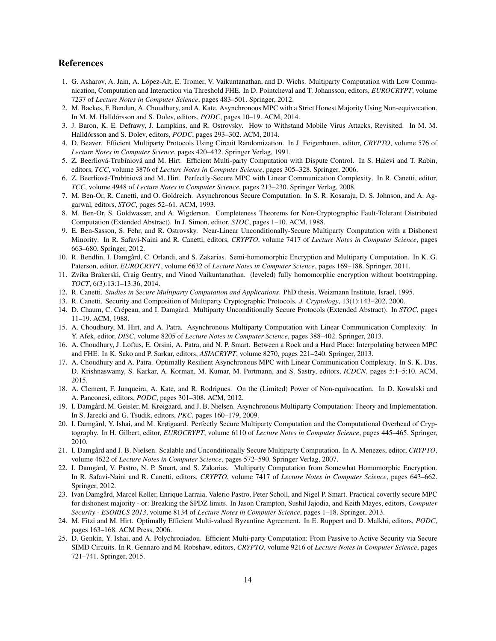## References

- <span id="page-13-22"></span>1. G. Asharov, A. Jain, A. Lopez-Alt, E. Tromer, V. Vaikuntanathan, and D. Wichs. Multiparty Computation with Low Commu- ´ nication, Computation and Interaction via Threshold FHE. In D. Pointcheval and T. Johansson, editors, *EUROCRYPT*, volume 7237 of *Lecture Notes in Computer Science*, pages 483–501. Springer, 2012.
- <span id="page-13-24"></span>2. M. Backes, F. Bendun, A. Choudhury, and A. Kate. Asynchronous MPC with a Strict Honest Majority Using Non-equivocation. In M. M. Halldórsson and S. Dolev, editors, PODC, pages 10-19. ACM, 2014.
- <span id="page-13-10"></span>3. J. Baron, K. E. Defrawy, J. Lampkins, and R. Ostrovsky. How to Withstand Mobile Virus Attacks, Revisited. In M. M. Halldórsson and S. Dolev, editors, *PODC*, pages 293-302. ACM, 2014.
- <span id="page-13-2"></span>4. D. Beaver. Efficient Multiparty Protocols Using Circuit Randomization. In J. Feigenbaum, editor, *CRYPTO*, volume 576 of *Lecture Notes in Computer Science*, pages 420–432. Springer Verlag, 1991.
- <span id="page-13-7"></span>5. Z. Beerliová-Trubíniová and M. Hirt. Efficient Multi-party Computation with Dispute Control. In S. Halevi and T. Rabin, editors, *TCC*, volume 3876 of *Lecture Notes in Computer Science*, pages 305–328. Springer, 2006.
- <span id="page-13-8"></span>6. Z. Beerliová-Trubíniová and M. Hirt. Perfectly-Secure MPC with Linear Communication Complexity. In R. Canetti, editor, *TCC*, volume 4948 of *Lecture Notes in Computer Science*, pages 213–230. Springer Verlag, 2008.
- <span id="page-13-15"></span>7. M. Ben-Or, R. Canetti, and O. Goldreich. Asynchronous Secure Computation. In S. R. Kosaraju, D. S. Johnson, and A. Aggarwal, editors, *STOC*, pages 52–61. ACM, 1993.
- <span id="page-13-0"></span>8. M. Ben-Or, S. Goldwasser, and A. Wigderson. Completeness Theorems for Non-Cryptographic Fault-Tolerant Distributed Computation (Extended Abstract). In J. Simon, editor, *STOC*, pages 1–10. ACM, 1988.
- <span id="page-13-6"></span>9. E. Ben-Sasson, S. Fehr, and R. Ostrovsky. Near-Linear Unconditionally-Secure Multiparty Computation with a Dishonest Minority. In R. Safavi-Naini and R. Canetti, editors, *CRYPTO*, volume 7417 of *Lecture Notes in Computer Science*, pages 663–680. Springer, 2012.
- <span id="page-13-9"></span>10. R. Bendlin, I. Damgård, C. Orlandi, and S. Zakarias. Semi-homomorphic Encryption and Multiparty Computation. In K. G. Paterson, editor, *EUROCRYPT*, volume 6632 of *Lecture Notes in Computer Science*, pages 169–188. Springer, 2011.
- <span id="page-13-17"></span>11. Zvika Brakerski, Craig Gentry, and Vinod Vaikuntanathan. (leveled) fully homomorphic encryption without bootstrapping. *TOCT*, 6(3):13:1–13:36, 2014.
- <span id="page-13-16"></span>12. R. Canetti. *Studies in Secure Multiparty Computation and Applications*. PhD thesis, Weizmann Institute, Israel, 1995.
- <span id="page-13-18"></span>13. R. Canetti. Security and Composition of Multiparty Cryptographic Protocols. *J. Cryptology*, 13(1):143–202, 2000.
- <span id="page-13-1"></span>14. D. Chaum, C. Crépeau, and I. Damgård. Multiparty Unconditionally Secure Protocols (Extended Abstract). In *STOC*, pages 11–19. ACM, 1988.
- <span id="page-13-20"></span>15. A. Choudhury, M. Hirt, and A. Patra. Asynchronous Multiparty Computation with Linear Communication Complexity. In Y. Afek, editor, *DISC*, volume 8205 of *Lecture Notes in Computer Science*, pages 388–402. Springer, 2013.
- <span id="page-13-19"></span>16. A. Choudhury, J. Loftus, E. Orsini, A. Patra, and N. P. Smart. Between a Rock and a Hard Place: Interpolating between MPC and FHE. In K. Sako and P. Sarkar, editors, *ASIACRYPT*, volume 8270, pages 221–240. Springer, 2013.
- <span id="page-13-13"></span>17. A. Choudhury and A. Patra. Optimally Resilient Asynchronous MPC with Linear Communication Complexity. In S. K. Das, D. Krishnaswamy, S. Karkar, A. Korman, M. Kumar, M. Portmann, and S. Sastry, editors, *ICDCN*, pages 5:1–5:10. ACM, 2015.
- <span id="page-13-23"></span>18. A. Clement, F. Junqueira, A. Kate, and R. Rodrigues. On the (Limited) Power of Non-equivocation. In D. Kowalski and A. Panconesi, editors, *PODC*, pages 301–308. ACM, 2012.
- <span id="page-13-3"></span>19. I. Damgård, M. Geisler, M. Krøigaard, and J. B. Nielsen. Asynchronous Multiparty Computation: Theory and Implementation. In S. Jarecki and G. Tsudik, editors, *PKC*, pages 160–179, 2009.
- <span id="page-13-11"></span>20. I. Damgård, Y. Ishai, and M. Krøigaard. Perfectly Secure Multiparty Computation and the Computational Overhead of Cryptography. In H. Gilbert, editor, *EUROCRYPT*, volume 6110 of *Lecture Notes in Computer Science*, pages 445–465. Springer, 2010.
- <span id="page-13-5"></span>21. I. Damgård and J. B. Nielsen. Scalable and Unconditionally Secure Multiparty Computation. In A. Menezes, editor, CRYPTO, volume 4622 of *Lecture Notes in Computer Science*, pages 572–590. Springer Verlag, 2007.
- <span id="page-13-4"></span>22. I. Damgård, V. Pastro, N. P. Smart, and S. Zakarias. Multiparty Computation from Somewhat Homomorphic Encryption. In R. Safavi-Naini and R. Canetti, editors, *CRYPTO*, volume 7417 of *Lecture Notes in Computer Science*, pages 643–662. Springer, 2012.
- <span id="page-13-14"></span>23. Ivan Damgård, Marcel Keller, Enrique Larraia, Valerio Pastro, Peter Scholl, and Nigel P. Smart. Practical covertly secure MPC for dishonest majority - or: Breaking the SPDZ limits. In Jason Crampton, Sushil Jajodia, and Keith Mayes, editors, *Computer Security - ESORICS 2013*, volume 8134 of *Lecture Notes in Computer Science*, pages 1–18. Springer, 2013.
- <span id="page-13-21"></span>24. M. Fitzi and M. Hirt. Optimally Efficient Multi-valued Byzantine Agreement. In E. Ruppert and D. Malkhi, editors, *PODC*, pages 163–168. ACM Press, 2006.
- <span id="page-13-12"></span>25. D. Genkin, Y. Ishai, and A. Polychroniadou. Efficient Multi-party Computation: From Passive to Active Security via Secure SIMD Circuits. In R. Gennaro and M. Robshaw, editors, *CRYPTO*, volume 9216 of *Lecture Notes in Computer Science*, pages 721–741. Springer, 2015.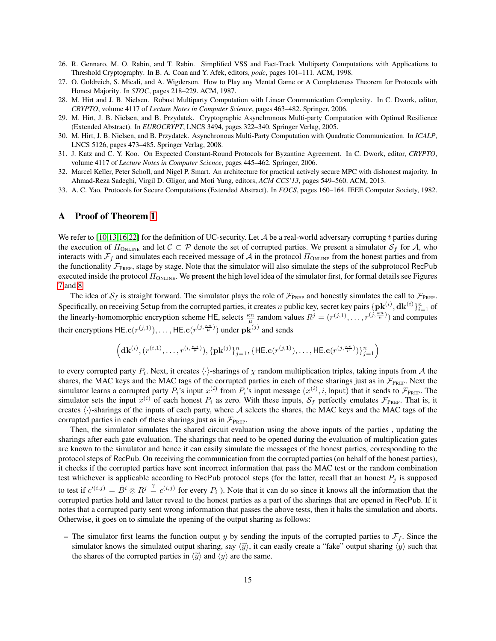- <span id="page-14-2"></span>26. R. Gennaro, M. O. Rabin, and T. Rabin. Simplified VSS and Fact-Track Multiparty Computations with Applications to Threshold Cryptography. In B. A. Coan and Y. Afek, editors, *podc*, pages 101–111. ACM, 1998.
- <span id="page-14-1"></span>27. O. Goldreich, S. Micali, and A. Wigderson. How to Play any Mental Game or A Completeness Theorem for Protocols with Honest Majority. In *STOC*, pages 218–229. ACM, 1987.
- <span id="page-14-3"></span>28. M. Hirt and J. B. Nielsen. Robust Multiparty Computation with Linear Communication Complexity. In C. Dwork, editor, *CRYPTO*, volume 4117 of *Lecture Notes in Computer Science*, pages 463–482. Springer, 2006.
- <span id="page-14-6"></span>29. M. Hirt, J. B. Nielsen, and B. Przydatek. Cryptographic Asynchronous Multi-party Computation with Optimal Resilience (Extended Abstract). In *EUROCRYPT*, LNCS 3494, pages 322–340. Springer Verlag, 2005.
- <span id="page-14-7"></span>30. M. Hirt, J. B. Nielsen, and B. Przydatek. Asynchronous Multi-Party Computation with Quadratic Communication. In *ICALP*, LNCS 5126, pages 473–485. Springer Verlag, 2008.
- <span id="page-14-8"></span>31. J. Katz and C. Y. Koo. On Expected Constant-Round Protocols for Byzantine Agreement. In C. Dwork, editor, *CRYPTO*, volume 4117 of *Lecture Notes in Computer Science*, pages 445–462. Springer, 2006.
- <span id="page-14-5"></span>32. Marcel Keller, Peter Scholl, and Nigel P. Smart. An architecture for practical actively secure MPC with dishonest majority. In Ahmad-Reza Sadeghi, Virgil D. Gligor, and Moti Yung, editors, *ACM CCS'13*, pages 549–560. ACM, 2013.
- <span id="page-14-0"></span>33. A. C. Yao. Protocols for Secure Computations (Extended Abstract). In *FOCS*, pages 160–164. IEEE Computer Society, 1982.

## <span id="page-14-4"></span>A Proof of Theorem [1](#page-11-1)

We refer to [\[10,](#page-13-9)[13,](#page-13-18)[16,](#page-13-19)[22\]](#page-13-4) for the definition of UC-security. Let A be a real-world adversary corrupting t parties during the execution of  $\Pi_{\text{ONLINE}}$  and let  $\mathcal{C} \subset \mathcal{P}$  denote the set of corrupted parties. We present a simulator  $S_f$  for A, who interacts with  $\mathcal{F}_f$  and simulates each received message of A in the protocol  $\Pi_{ONLNE}$  from the honest parties and from the functionality  $\mathcal{F}_{\text{PREF}}$ , stage by stage. Note that the simulator will also simulate the steps of the subprotocol RecPub executed inside the protocol  $\Pi_{\text{ONLINE}}$ . We present the high level idea of the simulator first, for formal details see Figures [7](#page-15-0) and [8.](#page-16-1)

The idea of  $S_f$  is straight forward. The simulator plays the role of  $\mathcal{F}_{P_{REP}}$  and honestly simulates the call to  $\mathcal{F}_{P_{REP}}$ . Specifically, on receiving Setup from the corrupted parties, it creates  $n$  public key, secret key pairs  $\{{\bf pk}^{(i)}, {\bf dk}^{(i)}\}_{i=1}^n$  of the linearly-homomorphic encryption scheme HE, selects  $\frac{\kappa n}{\mu}$  random values  $R^j = (r^{(j,1)}, \dots, r^{(j, \frac{\kappa n}{\mu})})$  and computes their encryptions  $HE.c(r^{(j,1)}), \ldots, HE.c(r^{(j, \frac{\kappa n}{\mu})})$  under  $pk^{(j)}$  and sends

$$
\left(\mathbf{dk}^{(i)},(r^{(i,1)},\ldots,r^{(i,\frac{\kappa n}{\mu})}),\{\mathbf{pk}^{(j)}\}_{j=1}^n,\{\mathsf{HE}.\mathbf{c}(r^{(j,1)}),\ldots,\mathsf{HE}.\mathbf{c}(r^{(j,\frac{\kappa n}{\mu})})\}_{j=1}^n\right)
$$

to every corrupted party  $P_i$ . Next, it creates  $\langle \cdot \rangle$ -sharings of  $\chi$  random multiplication triples, taking inputs from A the shares, the MAC keys and the MAC tags of the corrupted parties in each of these sharings just as in  $\mathcal{F}_{PREF}$ . Next the simulator learns a corrupted party  $P_i$ 's input  $x^{(i)}$  from  $P_i$ 's input message  $(x^{(i)}, i, \text{Input})$  that it sends to  $\mathcal{F}_{\text{PREF}}$ . The simulator sets the input  $x^{(i)}$  of each honest  $P_i$  as zero. With these inputs,  $S_f$  perfectly emulates  $\mathcal{F}_{PREF}$ . That is, it creates  $\langle \cdot \rangle$ -sharings of the inputs of each party, where A selects the shares, the MAC keys and the MAC tags of the corrupted parties in each of these sharings just as in  $\mathcal{F}_{\text{PREF}}$ .

Then, the simulator simulates the shared circuit evaluation using the above inputs of the parties , updating the sharings after each gate evaluation. The sharings that need to be opened during the evaluation of multiplication gates are known to the simulator and hence it can easily simulate the messages of the honest parties, corresponding to the protocol steps of RecPub. On receiving the communication from the corrupted parties (on behalf of the honest parties), it checks if the corrupted parties have sent incorrect information that pass the MAC test or the random combination test whichever is applicable according to RecPub protocol steps (for the latter, recall that an honest  $P_j$  is supposed to test if  $c^{(i,j)} = \overline{B}^i \otimes R^j \stackrel{?}{=} c^{(i,j)}$  for every  $P_i$ ). Note that it can do so since it knows all the information that the corrupted parties hold and latter reveal to the honest parties as a part of the sharings that are opened in RecPub. If it notes that a corrupted party sent wrong information that passes the above tests, then it halts the simulation and aborts. Otherwise, it goes on to simulate the opening of the output sharing as follows:

– The simulator first learns the function output y by sending the inputs of the corrupted parties to  $\mathcal{F}_f$ . Since the simulator knows the simulated output sharing, say  $\langle \hat{y} \rangle$ , it can easily create a "fake" output sharing  $\langle y \rangle$  such that the shares of the corrupted parties in  $\langle \tilde{y} \rangle$  and  $\langle y \rangle$  are the same.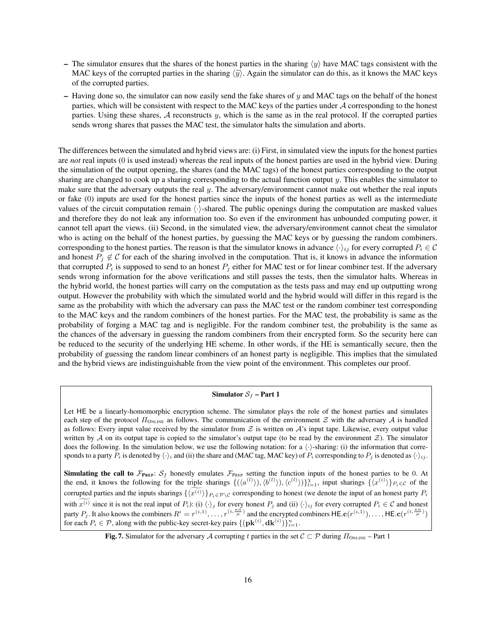- The simulator ensures that the shares of the honest parties in the sharing  $\langle y \rangle$  have MAC tags consistent with the MAC keys of the corrupted parties in the sharing  $\langle \hat{y} \rangle$ . Again the simulator can do this, as it knows the MAC keys of the corrupted parties.
- Having done so, the simulator can now easily send the fake shares of y and MAC tags on the behalf of the honest parties, which will be consistent with respect to the MAC keys of the parties under  $A$  corresponding to the honest parties. Using these shares,  $A$  reconstructs  $y$ , which is the same as in the real protocol. If the corrupted parties sends wrong shares that passes the MAC test, the simulator halts the simulation and aborts.

The differences between the simulated and hybrid views are: (i) First, in simulated view the inputs for the honest parties are *not* real inputs (0 is used instead) whereas the real inputs of the honest parties are used in the hybrid view. During the simulation of the output opening, the shares (and the MAC tags) of the honest parties corresponding to the output sharing are changed to cook up a sharing corresponding to the actual function output  $\psi$ . This enables the simulator to make sure that the adversary outputs the real y. The adversary/environment cannot make out whether the real inputs or fake (0) inputs are used for the honest parties since the inputs of the honest parties as well as the intermediate values of the circuit computation remain  $\langle \cdot \rangle$ -shared. The public openings during the computation are masked values and therefore they do not leak any information too. So even if the environment has unbounded computing power, it cannot tell apart the views. (ii) Second, in the simulated view, the adversary/environment cannot cheat the simulator who is acting on the behalf of the honest parties, by guessing the MAC keys or by guessing the random combiners. corresponding to the honest parties. The reason is that the simulator knows in advance  $\langle \cdot \rangle_{ij}$  for every corrupted  $P_i \in \mathcal{C}$ and honest  $P_j \notin \mathcal{C}$  for each of the sharing involved in the computation. That is, it knows in advance the information that corrupted  $P_i$  is supposed to send to an honest  $P_j$  either for MAC test or for linear combiner test. If the adversary sends wrong information for the above verifications and still passes the tests, then the simulator halts. Whereas in the hybrid world, the honest parties will carry on the computation as the tests pass and may end up outputting wrong output. However the probability with which the simulated world and the hybrid would will differ in this regard is the same as the probability with which the adversary can pass the MAC test or the random combiner test corresponding to the MAC keys and the random combiners of the honest parties. For the MAC test, the probability is same as the probability of forging a MAC tag and is negligible. For the random combiner test, the probability is the same as the chances of the adversary in guessing the random combiners from their encrypted form. So the security here can be reduced to the security of the underlying HE scheme. In other words, if the HE is semantically secure, then the probability of guessing the random linear combiners of an honest party is negligible. This implies that the simulated and the hybrid views are indistinguishable from the view point of the environment. This completes our proof.

### Simulator  $S_f$  – Part 1

Let HE be a linearly-homomorphic encryption scheme. The simulator plays the role of the honest parties and simulates each step of the protocol  $\Pi_{ONLNE}$  as follows. The communication of the environment Z with the adversary A is handled as follows: Every input value received by the simulator from  $Z$  is written on  $A$ 's input tape. Likewise, every output value written by A on its output tape is copied to the simulator's output tape (to be read by the environment  $\mathcal{Z}$ ). The simulator does the following. In the simulation below, we use the following notation: for a  $\langle \cdot \rangle$ -sharing: (i) the information that corresponds to a party  $P_i$  is denoted by  $\langle \cdot \rangle_i$  and (ii) the share and (MAC tag, MAC key) of  $P_i$  corresponding to  $P_j$  is denoted as  $\langle \cdot \rangle_{ij}$ .

**Simulating the call to**  $\mathcal{F}_{\text{PREF}}$ :  $\mathcal{S}_f$  honestly emulates  $\mathcal{F}_{\text{PREF}}$  setting the function inputs of the honest parties to be 0. At the end, it knows the following for the triple sharings  $\{(\langle a^{(l)} \rangle), \langle b^{(l)} \rangle), \langle c^{(l)} \rangle\}_{l=1}^{\chi}$ , input sharings  $\{\langle x^{(i)} \rangle\}_{P_i \in \mathcal{C}}$  of the corrupted parties and the inputs sharings  $\{\langle x^{(i)} \rangle\}_{P_i \in \mathcal{P}\setminus\mathcal{C}}$  corresponding to honest (we denote the input of an honest party  $P_i$ with  $x^{(i)}$  since it is not the real input of  $P_i$ ): (i)  $\langle \cdot \rangle_j$  for every honest  $P_j$  and (ii)  $\langle \cdot \rangle_{ij}$  for every corrupted  $P_i \in \mathcal{C}$  and honest party  $P_j$ . It also knows the combiners  $R^i = r^{(i,1)}, \ldots, r^{(i, \frac{\kappa n}{\mu})}$  and the encrypted combiners  $\textsf{HE}.\textbf{c}(r^{(i,1)}), \ldots, \textsf{HE}.\textbf{c}(r^{(i, \frac{\kappa n}{\mu})})$ for each  $P_i \in \mathcal{P}$ , along with the public-key secret-key pairs  $\{(\mathbf{pk}^{(i)}, \mathbf{dk}^{(i)})\}_{i=1}^n$ .

<span id="page-15-0"></span>Fig. 7. Simulator for the adversary A corrupting t parties in the set  $\mathcal{C} \subset \mathcal{P}$  during  $\Pi_{\text{ONLINE}}$  – Part 1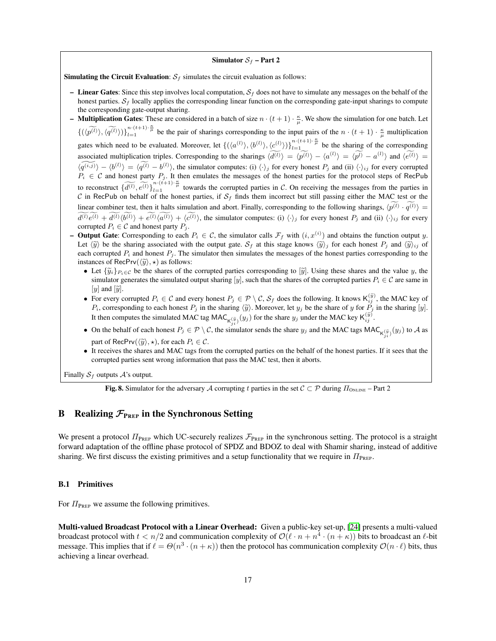#### Simulator  $S_f$  – Part 2

**Simulating the Circuit Evaluation:**  $S_f$  simulates the circuit evaluation as follows:

- Linear Gates: Since this step involves local computation,  $S_f$  does not have to simulate any messages on the behalf of the honest parties.  $S_f$  locally applies the corresponding linear function on the corresponding gate-input sharings to compute the corresponding gate-output sharing.
- **Multiplication Gates:** These are considered in a batch of size  $n \cdot (t+1) \cdot \frac{\kappa}{\mu}$ . We show the simulation for one batch. Let  $\{(\langle \widetilde{p^{(l)}} \rangle, \langle \widetilde{q^{(l)}} \rangle)\}_{l=1}^{n \cdot (t+1) \cdot \frac{\kappa}{\mu}}$  be the pair of sharings corresponding to the input pairs of the  $n \cdot (t+1) \cdot \frac{\kappa}{\mu}$  multiplication gates which need to be evaluated. Moreover, let  ${ ( \langle a^{(l)} \rangle, \langle b^{(l)} \rangle, \langle c^{(l)} \rangle ) \}_{l=1}^{n \cdot (t+1) \cdot \frac{\kappa}{\mu}}$  be the sharing of the corresponding associated multiplication triples. Corresponding to the sharings  $\langle d^{(l)} \rangle = \langle p^{(l)} \rangle - \langle a^{(l)} \rangle = \langle p^{(l)} - a^{(l)} \rangle$  and  $\langle e^{(l)} \rangle =$  $\langle \widetilde{q^{(i,j)}} \rangle - \langle b^{(l)} \rangle = \langle \widetilde{q^{(l)}} - b^{(l)} \rangle$ , the simulator computes: (i)  $\langle \cdot \rangle_j$  for every honest  $P_j$  and (ii)  $\langle \cdot \rangle_{ij}$  for every corrupted  $P_i \in \mathcal{C}$  and honest party  $P_j$ . It then emulates the messages of the honest parties for the protocol steps of RecPub to reconstruct  $\{\widetilde{d^{(l)}}\}_{l=1}^{\widetilde{n^{(l)}}(t+1)\cdot \frac{\kappa}{\mu}}$  towards the corrupted parties in C. On receiving the messages from the parties in C in RecPub on behalf of the honest parties, if  $S_f$  finds them incorrect but still passing either the MAC test or the linear combiner test, then it halts simulation and abort. Finally, corresponding to the following sharings,  $\langle p^{(l)} \cdot q^{(l)} \rangle =$  $\widetilde{d^{(1)}}e^{(1)} + \widetilde{d^{(1)}}\langle\widetilde{b^{(1)}}\rangle + \widetilde{e^{(1)}}\langle\widetilde{d^{(1)}}\rangle$ , the simulator computes: (i)  $\langle \cdot \rangle_j$  for every honest  $P_j$  and (ii)  $\langle \cdot \rangle_{ij}$  for every corrupted  $P_i \in \mathcal{C}$  and honest party  $P_i$ .
- **Output Gate**: Corresponding to each  $P_i \in \mathcal{C}$ , the simulator calls  $\mathcal{F}_f$  with  $(i, x^{(i)})$  and obtains the function output y. Let  $\langle \tilde{y} \rangle$  be the sharing associated with the output gate.  $S_f$  at this stage knows  $\langle \tilde{y} \rangle_i$  for each honest  $P_j$  and  $\langle \tilde{y} \rangle_{ij}$  of each corrupted  $P_i$  and honest  $P_j$ . The simulator then simulates the messages of the honest parties corresponding to the instances of RecPrv $(\langle \tilde{y} \rangle, \star)$  as follows:
	- Let  $\{\widetilde{y}_i\}_{e \in \mathcal{C}}$  be the shares of the corrupted parties corresponding to  $[\widetilde{y}]$ . Using these shares and the value y, the simulator generates the simulated output sharing [y], such that the shares of the corrupted parties  $P_i \in \mathcal{C}$  are same in  $[y]$  and  $[\widetilde{y}]$ .
	- For every corrupted  $P_i \in \mathcal{C}$  and every honest  $P_j \in \mathcal{P} \setminus \mathcal{C}$ ,  $\mathcal{S}_f$  does the following. It knows  $\mathsf{K}_{ij}^{(\tilde{y})}$ , the MAC key of  $P_i$ , corresponding to each honest  $P_j$  in the sharing  $\langle \tilde{y} \rangle$ . Moreover, let  $y_j$  be the share of y for  $P_j$  in the sharing [y]. It then computes the simulated MAC tag MAC<sub>K</sub> $_{i}(\tilde{y}_j)(y_j)$  for the share  $y_j$  under the MAC key K $_{ij}^{(\tilde{y})}$ .
	- On the behalf of each honest  $P_j \in \mathcal{P} \setminus \mathcal{C}$ , the simulator sends the share  $y_j$  and the MAC tags MAC  $\kappa_{j_i}^{(\tilde{y})}(y_j)$  to A as part of RecPrv( $\langle \widetilde{\mathfrak{y}} \rangle$ ,  $\star$ ), for each  $P_i \in \mathcal{C}$ .
	- It receives the shares and MAC tags from the corrupted parties on the behalf of the honest parties. If it sees that the corrupted parties sent wrong information that pass the MAC test, then it aborts.

Finally  $S_f$  outputs  $A$ 's output.

<span id="page-16-1"></span>**Fig. 8.** Simulator for the adversary A corrupting t parties in the set  $\mathcal{C} \subset \mathcal{P}$  during  $\Pi_{\text{ONLINE}}$  – Part 2

## <span id="page-16-0"></span>B Realizing  $\mathcal{F}_{\text{PREF}}$  in the Synchronous Setting

We present a protocol  $\Pi_{\text{PREF}}$  which UC-securely realizes  $\mathcal{F}_{\text{PREF}}$  in the synchronous setting. The protocol is a straight forward adaptation of the offline phase protocol of SPDZ and BDOZ to deal with Shamir sharing, instead of additive sharing. We first discuss the existing primitives and a setup functionality that we require in  $\Pi_{\text{PREF}}$ .

### B.1 Primitives

For  $\Pi_{\text{PREF}}$  we assume the following primitives.

Multi-valued Broadcast Protocol with a Linear Overhead: Given a public-key set-up, [\[24\]](#page-13-21) presents a multi-valued broadcast protocol with  $t < n/2$  and communication complexity of  $\mathcal{O}(\ell \cdot n + n^4 \cdot (n + \kappa))$  bits to broadcast an  $\ell$ -bit message. This implies that if  $\ell = \Theta(n^3 \cdot (n + \kappa))$  then the protocol has communication complexity  $\mathcal{O}(n \cdot \ell)$  bits, thus achieving a linear overhead.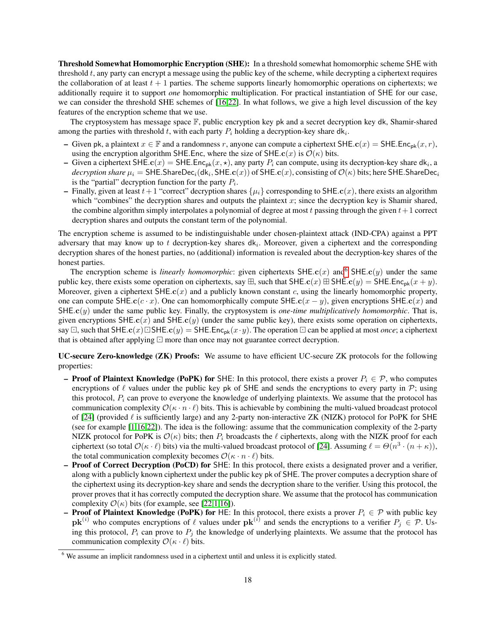Threshold Somewhat Homomorphic Encryption (SHE): In a threshold somewhat homomorphic scheme SHE with threshold t, any party can encrypt a message using the public key of the scheme, while decrypting a ciphertext requires the collaboration of at least  $t + 1$  parties. The scheme supports linearly homomorphic operations on ciphertexts; we additionally require it to support *one* homomorphic multiplication. For practical instantiation of SHE for our case, we can consider the threshold SHE schemes of [\[16](#page-13-19)[,22\]](#page-13-4). In what follows, we give a high level discussion of the key features of the encryption scheme that we use.

The cryptosystem has message space  $\mathbb{F}$ , public encryption key pk and a secret decryption key dk, Shamir-shared among the parties with threshold t, with each party  $P_i$  holding a decryption-key share dk<sub>i</sub>.

- Given pk, a plaintext  $x \in \mathbb{F}$  and a randomness r, anyone can compute a ciphertext  $\text{SHE}.\text{c}(x) = \text{SHE}.\text{Enc}_{\text{pk}}(x, r)$ , using the encryption algorithm SHE.Enc, where the size of SHE.c(x) is  $\mathcal{O}(\kappa)$  bits.
- Given a ciphertext SHE. $c(x)$  = SHE.Enc<sub>pk</sub> $(x, \star)$ , any party  $P_i$  can compute, using its decryption-key share dk<sub>i</sub>, a  $decription\ share\ \mu_i=\mathsf{SHE}.\mathsf{Share}\ \mathsf{Dec}_i(\mathsf{dk}_i,\mathsf{SHE}.\mathbf{c}(x))$  of  $\mathsf{SHE}.\mathbf{c}(x),$  consisting of  $\mathcal{O}(\kappa)$  bits; here  $\mathsf{SHE}.\mathsf{ShareDec}_i$ is the "partial" decryption function for the party  $P_i$ .
- Finally, given at least  $t + 1$  "correct" decryption shares  $\{\mu_i\}$  corresponding to SHE.c(x), there exists an algorithm which "combines" the decryption shares and outputs the plaintext  $x$ ; since the decryption key is Shamir shared, the combine algorithm simply interpolates a polynomial of degree at most t passing through the given  $t+1$  correct decryption shares and outputs the constant term of the polynomial.

The encryption scheme is assumed to be indistinguishable under chosen-plaintext attack (IND-CPA) against a PPT adversary that may know up to t decryption-key shares  $dk_i$ . Moreover, given a ciphertext and the corresponding decryption shares of the honest parties, no (additional) information is revealed about the decryption-key shares of the honest parties.

The encryption scheme is *linearly homomorphic*: given ciphertexts  $SHE.c(x)$  and  $SHE.c(y)$  under the same public key, there exists some operation on ciphertexts, say  $\boxplus$ , such that  $SHE.c(x) \boxplus SHE.c(y) = SHE.Enc_{nk}(x + y)$ . Moreover, given a ciphertext  $SHE.c(x)$  and a publicly known constant c, using the linearly homomorphic property, one can compute SHE.c(c · x). One can homomorphically compute SHE.c(x – y), given encryptions SHE.c(x) and SHE.c(y) under the same public key. Finally, the cryptosystem is *one-time multiplicatively homomorphic*. That is, given encryptions  $SHE.c(x)$  and  $SHE.c(y)$  (under the same public key), there exists some operation on ciphertexts, say  $\Box$ , such that SHE.c(x)  $\Box$  SHE.c(y) = SHE.Enc<sub>pk</sub>(x·y). The operation  $\Box$  can be applied at most *once*; a ciphertext that is obtained after applying  $\Box$  more than once may not guarantee correct decryption.

UC-secure Zero-knowledge (ZK) Proofs: We assume to have efficient UC-secure ZK protocols for the following properties:

- **Proof of Plaintext Knowledge (PoPK) for SHE:** In this protocol, there exists a prover  $P_i \in \mathcal{P}$ , who computes encryptions of  $\ell$  values under the public key pk of SHE and sends the encryptions to every party in P; using this protocol,  $P_i$  can prove to everyone the knowledge of underlying plaintexts. We assume that the protocol has communication complexity  $\mathcal{O}(\kappa \cdot n \cdot \ell)$  bits. This is achievable by combining the multi-valued broadcast protocol of [\[24\]](#page-13-21) (provided  $\ell$  is sufficiently large) and any 2-party non-interactive ZK (NIZK) protocol for PoPK for SHE (see for example [\[1,](#page-13-22)[16](#page-13-19)[,22\]](#page-13-4)). The idea is the following: assume that the communication complexity of the 2-party NIZK protocol for PoPK is  $\mathcal{O}(\kappa)$  bits; then  $P_i$  broadcasts the  $\ell$  ciphertexts, along with the NIZK proof for each ciphertext (so total  $\mathcal{O}(\kappa \cdot \ell)$  bits) via the multi-valued broadcast protocol of [\[24\]](#page-13-21). Assuming  $\ell = \Theta(n^3 \cdot (n + \kappa))$ , the total communication complexity becomes  $\mathcal{O}(\kappa \cdot n \cdot \ell)$  bits.
- Proof of Correct Decryption (PoCD) for SHE: In this protocol, there exists a designated prover and a verifier, along with a publicly known ciphertext under the public key pk of SHE. The prover computes a decryption share of the ciphertext using its decryption-key share and sends the decryption share to the verifier. Using this protocol, the prover proves that it has correctly computed the decryption share. We assume that the protocol has communication complexity  $\mathcal{O}(\kappa)$  bits (for example, see [\[22,](#page-13-4)[1,](#page-13-22)[16\]](#page-13-19)).
- **Proof of Plaintext Knowledge (PoPK) for HE:** In this protocol, there exists a prover  $P_i \in \mathcal{P}$  with public key  $\mathbf{pk}^{(i)}$  who computes encryptions of  $\ell$  values under  $\mathbf{pk}^{(i)}$  and sends the encryptions to a verifier  $P_j \in \mathcal{P}$ . Using this protocol,  $P_i$  can prove to  $P_j$  the knowledge of underlying plaintexts. We assume that the protocol has communication complexity  $\mathcal{O}(\kappa \cdot \ell)$  bits.

<span id="page-17-0"></span><sup>6</sup> We assume an implicit randomness used in a ciphertext until and unless it is explicitly stated.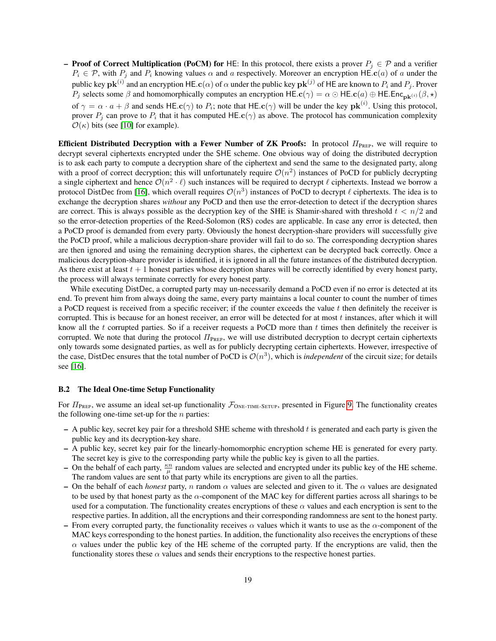**– Proof of Correct Multiplication (PoCM) for HE:** In this protocol, there exists a prover  $P_i \in \mathcal{P}$  and a verifier  $P_i \in \mathcal{P}$ , with  $P_j$  and  $P_i$  knowing values  $\alpha$  and  $\alpha$  respectively. Moreover an encryption HE.c( $\alpha$ ) of  $\alpha$  under the public key  $\mathbf{pk}^{(i)}$  and an encryption HE.c( $\alpha$ ) of  $\alpha$  under the public key  $\mathbf{pk}^{(j)}$  of HE are known to  $P_i$  and  $P_j$ . Prover  $P_j$  selects some  $\beta$  and homomorphically computes an encryption HE.c( $\gamma$ ) =  $\alpha \odot$  HE.c(a)  $\oplus$  HE.Enc<sub>pk</sub>(i) ( $\beta$ ,  $\star$ ) of  $\gamma = \alpha \cdot a + \beta$  and sends HE.c( $\gamma$ ) to  $P_i$ ; note that HE.c( $\gamma$ ) will be under the key pk<sup>(i)</sup>. Using this protocol, prover  $P_j$  can prove to  $P_i$  that it has computed HE.c( $\gamma$ ) as above. The protocol has communication complexity  $\mathcal{O}(\kappa)$  bits (see [\[10\]](#page-13-9) for example).

Efficient Distributed Decryption with a Fewer Number of ZK Proofs: In protocol  $\Pi_{\text{PREF}}$ , we will require to decrypt several ciphertexts encrypted under the SHE scheme. One obvious way of doing the distributed decryption is to ask each party to compute a decryption share of the ciphertext and send the same to the designated party, along with a proof of correct decryption; this will unfortunately require  $\mathcal{O}(n^2)$  instances of PoCD for publicly decrypting a single ciphertext and hence  $\mathcal{O}(n^2 \cdot \ell)$  such instances will be required to decrypt  $\ell$  ciphertexts. Instead we borrow a protocol DistDec from [\[16\]](#page-13-19), which overall requires  $\mathcal{O}(n^3)$  instances of PoCD to decrypt  $\ell$  ciphertexts. The idea is to exchange the decryption shares *without* any PoCD and then use the error-detection to detect if the decryption shares are correct. This is always possible as the decryption key of the SHE is Shamir-shared with threshold  $t < n/2$  and so the error-detection properties of the Reed-Solomon (RS) codes are applicable. In case any error is detected, then a PoCD proof is demanded from every party. Obviously the honest decryption-share providers will successfully give the PoCD proof, while a malicious decryption-share provider will fail to do so. The corresponding decryption shares are then ignored and using the remaining decryption shares, the ciphertext can be decrypted back correctly. Once a malicious decryption-share provider is identified, it is ignored in all the future instances of the distributed decryption. As there exist at least  $t + 1$  honest parties whose decryption shares will be correctly identified by every honest party, the process will always terminate correctly for every honest party.

While executing DistDec, a corrupted party may un-necessarily demand a PoCD even if no error is detected at its end. To prevent him from always doing the same, every party maintains a local counter to count the number of times a PoCD request is received from a specific receiver; if the counter exceeds the value  $t$  then definitely the receiver is corrupted. This is because for an honest receiver, an error will be detected for at most  $t$  instances, after which it will know all the t corrupted parties. So if a receiver requests a PoCD more than  $t$  times then definitely the receiver is corrupted. We note that during the protocol  $\Pi_{\text{PREF}}$ , we will use distributed decryption to decrypt certain ciphertexts only towards some designated parties, as well as for publicly decrypting certain ciphertexts. However, irrespective of the case, DistDec ensures that the total number of PoCD is  $\mathcal{O}(n^3)$ , which is *independent* of the circuit size; for details see [\[16\]](#page-13-19).

### B.2 The Ideal One-time Setup Functionality

For  $\Pi_{\text{PREF}}$ , we assume an ideal set-up functionality  $\mathcal{F}_{\text{ONE-TIME-SETUP}}$ , presented in Figure [9.](#page-19-0) The functionality creates the following one-time set-up for the  $n$  parties:

- $-$  A public key, secret key pair for a threshold SHE scheme with threshold  $t$  is generated and each party is given the public key and its decryption-key share.
- A public key, secret key pair for the linearly-homomorphic encryption scheme HE is generated for every party. The secret key is give to the corresponding party while the public key is given to all the parties.
- On the behalf of each party,  $\frac{\kappa n}{\mu}$  random values are selected and encrypted under its public key of the HE scheme. The random values are sent to that party while its encryptions are given to all the parties.
- On the behalf of each *honest* party, n random  $\alpha$  values are selected and given to it. The  $\alpha$  values are designated to be used by that honest party as the  $\alpha$ -component of the MAC key for different parties across all sharings to be used for a computation. The functionality creates encryptions of these  $\alpha$  values and each encryption is sent to the respective parties. In addition, all the encryptions and their corresponding randomness are sent to the honest party.
- From every corrupted party, the functionality receives  $\alpha$  values which it wants to use as the  $\alpha$ -component of the MAC keys corresponding to the honest parties. In addition, the functionality also receives the encryptions of these  $\alpha$  values under the public key of the HE scheme of the corrupted party. If the encryptions are valid, then the functionality stores these  $\alpha$  values and sends their encryptions to the respective honest parties.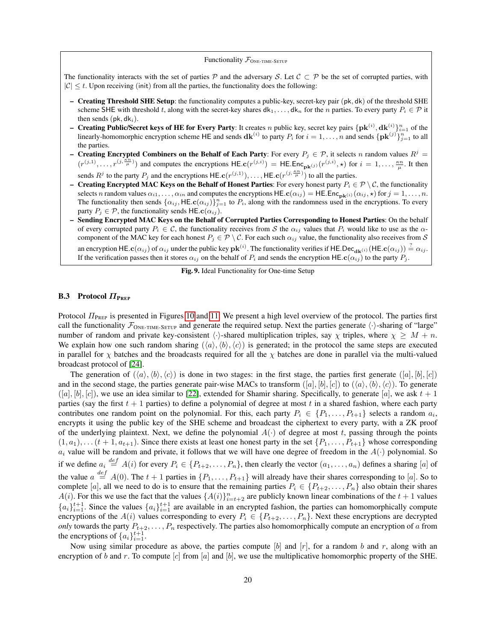### Functionality  $\mathcal{F}_{\text{ONE-TIME-SETUP}}$

The functionality interacts with the set of parties P and the adversary S. Let  $C \subset P$  be the set of corrupted parties, with  $|C| < t$ . Upon receiving (init) from all the parties, the functionality does the following:

- Creating Threshold SHE Setup: the functionality computes a public-key, secret-key pair (pk, dk) of the threshold SHE scheme SHE with threshold t, along with the secret-key shares  $dk_1, \ldots, dk_n$  for the n parties. To every party  $P_i \in \mathcal{P}$  it then sends ( $pk, dk<sub>i</sub>$ ).
- **Creating Public/Secret keys of HE for Every Party**: It creates n public key, secret key pairs  $\{pk^{(i)}, dk^{(i)}\}_{i=1}^n$  of the linearly-homomorphic encryption scheme HE and sends  $d\mathbf{k}^{(i)}$  to party  $P_i$  for  $i = 1, ..., n$  and sends  $\{\mathbf{pk}^{(j)}\}_{j=1}^n$  to all the parties.
- Creating Encrypted Combiners on the Behalf of Each Party: For every  $P_j \in \mathcal{P}$ , it selects n random values  $R^j =$  $(r^{(j,1)},\ldots,r^{(j,\frac{\kappa n}{\mu})})$  and computes the encryptions HE.c( $r^{(j,i)}$ ) = HE.Enc<sub>pk(j)</sub> ( $r^{(j,i)}$ ,  $\star$ ) for  $i=1,\ldots,\frac{\kappa n}{\mu}$ . It then sends  $R^j$  to the party  $P_j$  and the encryptions HE.c( $r^{(j,1)}$ ),..., HE.c( $r^{(j,\frac{\kappa n}{\mu})}$ ) to all the parties.
- Creating Encrypted MAC Keys on the Behalf of Honest Parties: For every honest party  $P_i \in \mathcal{P} \setminus \mathcal{C}$ , the functionality selects n random values  $\alpha_{i1}, \ldots, \alpha_{in}$  and computes the encryptions  $\text{HE.c}(\alpha_{ij}) = \text{HE.Enc}_{\textbf{pk}}(\alpha)(\alpha_{ij}, \star)$  for  $j = 1, \ldots, n$ . The functionality then sends  $\{\alpha_{ij}, \text{HE.c}(\alpha_{ij})\}_{j=1}^n$  to  $P_i$ , along with the randomness used in the encryptions. To every party  $P_i \in \mathcal{P}$ , the functionality sends HE.c( $\alpha_{ij}$ ).
- Sending Encrypted MAC Keys on the Behalf of Corrupted Parties Corresponding to Honest Parties: On the behalf of every corrupted party  $P_i \in C$ , the functionality receives from S the  $\alpha_{ij}$  values that  $P_i$  would like to use as the  $\alpha$ component of the MAC key for each honest  $P_j \in \mathcal{P} \setminus \mathcal{C}$ . For each such  $\alpha_{ij}$  value, the functionality also receives from S an encryption HE. $\mathbf{c}(\alpha_{ij})$  of  $\alpha_{ij}$  under the public key  $\mathbf{pk}^{(i)}$ . The functionality verifies if HE.Dec $_{\mathbf{dk}^{(i)}}$  (HE. $\mathbf{c}(\alpha_{ij})$ )  $\stackrel{?}{=} \alpha_{ij}$ . If the verification passes then it stores  $\alpha_{ij}$  on the behalf of  $P_i$  and sends the encryption HE.c( $\alpha_{ij}$ ) to the party  $P_j$ .

<span id="page-19-0"></span>

| Fig. 9. Ideal Functionality for One-time Setup |  |  |
|------------------------------------------------|--|--|
|                                                |  |  |

### **B.3** Protocol  $\Pi_{\text{PREF}}$

Protocol  $\Pi_{\text{PREF}}$  is presented in Figures [10](#page-20-0) and [11.](#page-21-1) We present a high level overview of the protocol. The parties first call the functionality  $\mathcal{F}_{\text{ONE-TIME-SETUP}}$  and generate the required setup. Next the parties generate  $\langle \cdot \rangle$ -sharing of "large" number of random and private key-consistent  $\langle \cdot \rangle$ -shared multiplication triples, say  $\chi$  triples, where  $\chi \geq M + n$ . We explain how one such random sharing  $(\langle a \rangle, \langle b \rangle, \langle c \rangle)$  is generated; in the protocol the same steps are executed in parallel for  $\chi$  batches and the broadcasts required for all the  $\chi$  batches are done in parallel via the multi-valued broadcast protocol of [\[24\]](#page-13-21).

The generation of  $(\langle a \rangle, \langle b \rangle, \langle c \rangle)$  is done in two stages: in the first stage, the parties first generate  $([a], [b], [c])$ and in the second stage, the parties generate pair-wise MACs to transform  $([a], [b], [c])$  to  $(\langle a \rangle, \langle b \rangle, \langle c \rangle)$ . To generate  $([a], [b], [c])$ , we use an idea similar to [\[22\]](#page-13-4), extended for Shamir sharing. Specifically, to generate [a], we ask  $t + 1$ parties (say the first  $t + 1$  parties) to define a polynomial of degree at most t in a shared fashion, where each party contributes one random point on the polynomial. For this, each party  $P_i \in \{P_1, \ldots, P_{t+1}\}$  selects a random  $a_i$ , encrypts it using the public key of the SHE scheme and broadcast the ciphertext to every party, with a ZK proof of the underlying plaintext. Next, we define the polynomial  $A(\cdot)$  of degree at most t, passing through the points  $(1, a_1), \ldots (t + 1, a_{t+1})$ . Since there exists at least one honest party in the set  $\{P_1, \ldots, P_{t+1}\}$  whose corresponding  $a_i$  value will be random and private, it follows that we will have one degree of freedom in the  $A(\cdot)$  polynomial. So if we define  $a_i \stackrel{def}{=} A(i)$  for every  $P_i \in \{P_{t+2}, \ldots, P_n\}$ , then clearly the vector  $(a_1, \ldots, a_n)$  defines a sharing  $[a]$  of the value  $a \stackrel{def}{=} A(0)$ . The  $t + 1$  parties in  $\{P_1, \ldots, P_{t+1}\}$  will already have their shares corresponding to [a]. So to complete [a], all we need to do is to ensure that the remaining parties  $P_i \in \{P_{t+2}, \ldots, P_n\}$  also obtain their shares  $A(i)$ . For this we use the fact that the values  $\{A(i)\}_{i=t+2}^n$  are publicly known linear combinations of the  $t+1$  values  ${a_i}_{i=1}^{t+1}$ . Since the values  ${a_i}_{i=1}^{t+1}$  are available in an encrypted fashion, the parties can homomorphically compute encryptions of the  $A(i)$  values corresponding to every  $P_i \in \{P_{t+2}, \ldots, P_n\}$ . Next these encryptions are decrypted *only* towards the party  $P_{t+2}, \ldots, P_n$  respectively. The parties also homomorphically compute an encryption of a from the encryptions of  $\{a_i\}_{i=1}^{t+1}$ .

Now using similar procedure as above, the parties compute [b] and  $[r]$ , for a random b and r, along with an encryption of b and r. To compute  $[c]$  from  $[a]$  and  $[b]$ , we use the multiplicative homomorphic property of the SHE.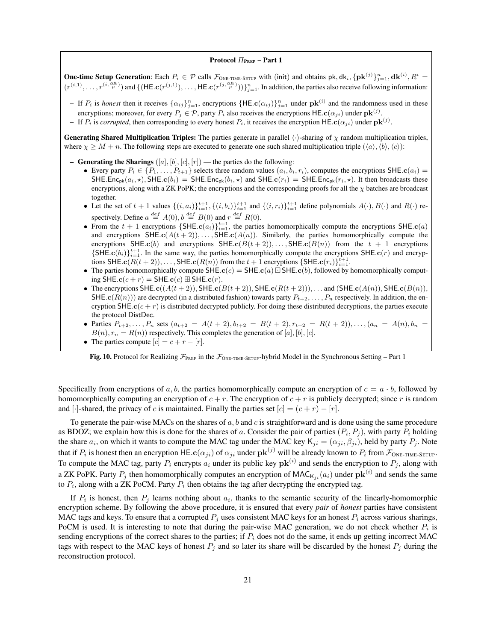#### **Protocol**  $\Pi_{\text{P}_{\text{REP}}}$  – **Part 1**

**One-time Setup Generation**: Each  $P_i \in \mathcal{P}$  calls  $\mathcal{F}_{\text{ONE-TIME-SETUP}}$  with (init) and obtains pk, dk<sub>i</sub>, {p**k**<sup>(j)</sup>} $_{j=1}^n$ , d**k**<sup>(i)</sup>,  $R^i =$  $(r^{(i,1)},\ldots,r^{(i,\frac{\kappa n}{\mu})})$  and  $\{(\text{HE.c}(r^{(j,1)}),\ldots,\text{HE.c}(r^{(j,\frac{\kappa n}{\mu})}))\}_{j=1}^n$ . In addition, the parties also receive following information:

- If  $P_i$  is *honest* then it receives  $\{\alpha_{ij}\}_{j=1}^n$ , encryptions  $\{\text{HE.c}(\alpha_{ij})\}_{j=1}^n$  under  $\mathbf{pk}^{(i)}$  and the randomness used in these encryptions; moreover, for every  $P_j \in \mathcal{P}$ , party  $P_i$  also receives the encryptions HE. $\mathbf{c}(\alpha_{ji})$  under  $\mathbf{pk}^{(j)}$ .

– If  $P_i$  is *corrupted*, then corresponding to every honest  $P_i$ , it receives the encryption HE.c( $\alpha_{ji}$ ) under  $\mathbf{pk}^{(j)}$ .

**Generating Shared Multiplication Triples:** The parties generate in parallel  $\langle \cdot \rangle$ -sharing of  $\chi$  random multiplication triples, where  $\chi \geq M + n$ . The following steps are executed to generate one such shared multiplication triple  $(\langle a \rangle, \langle b \rangle, \langle c \rangle)$ :

– Generating the Sharings  $([a], [b], [c], [r])$  — the parties do the following:

- Every party  $P_i \in \{P_1, \ldots, P_{t+1}\}$  selects three random values  $(a_i, b_i, r_i)$ , computes the encryptions SHE.c( $a_i$ ) = SHE.Enc<sub>pk</sub> $(a_i, \star)$ , SHE.c(b<sub>i</sub>) = SHE.Enc<sub>pk</sub> $(b_i, \star)$  and SHE.c( $r_i$ ) = SHE.Enc<sub>pk</sub> $(r_i, \star)$ . It then broadcasts these encryptions, along with a ZK PoPK; the encryptions and the corresponding proofs for all the  $\chi$  batches are broadcast together.
- Let the set of  $t+1$  values  $\{(i, a_i)\}_{i=1}^{t+1}$ ,  $\{(i, b_i)\}_{i=1}^{t+1}$  and  $\{(i, r_i)\}_{i=1}^{t+1}$  define polynomials  $A(\cdot), B(\cdot)$  and  $R(\cdot)$  respectively. Define  $a \stackrel{def}{=} A(0), b \stackrel{def}{=} B(0)$  and  $r \stackrel{def}{=} R(0)$ .
- From the  $t + 1$  encryptions  $\{\text{SHE}.\textbf{c}(a_i)\}_{i=1}^{t+1}$ , the parties homomorphically compute the encryptions  $\text{SHE}.\textbf{c}(a)$ and encryptions  $SHE.c(A(t + 2)), \ldots, SHE.c(A(n)).$  Similarly, the parties homomorphically compute the encryptions SHE.c(b) and encryptions SHE.c( $B(t + 2)$ ),..., SHE.c( $B(n)$ ) from the  $t + 1$  encryptions  ${\text{SHE.c}}(b_i)_{i=1}^{t+1}$ . In the same way, the parties homomorphically compute the encryptions  ${\text{SHE.c}}(r)$  and encryptions SHE.c( $R(t+2)$ ),..., SHE.c( $R(n)$ ) from the  $t+1$  encryptions {SHE.c( $r_i$ )} $_{i=1}^{t+1}$ .
- The parties homomorphically compute  $SHE.c(c) = SHE.c(a) \square SHE.c(b)$ , followed by homomorphically computing  $SHE.c(c + r) = SHE.c(c) \boxplus SHE.c(r)$ .
- The encryptions  $SHE.c((A(t+2)), SHE.c(B(t+2)), SHE.c(R(t+2))), \ldots$  and  $(SHE.c(A(n)), SHE.c(B(n)),$ SHE.c( $R(n)$ )) are decrypted (in a distributed fashion) towards party  $P_{t+2}, \ldots, P_n$  respectively. In addition, the encryption SHE. $\mathbf{c}(c + r)$  is distributed decrypted publicly. For doing these distributed decryptions, the parties execute the protocol DistDec.
- Parties  $P_{t+2},...,P_n$  sets  $(a_{t+2} = A(t+2), b_{t+2} = B(t+2), r_{t+2} = R(t+2)),..., (a_n = A(n), b_n =$  $B(n), r_n = R(n)$  respectively. This completes the generation of [a], [b], [c].
- The parties compute  $[c] = c + r [r]$ .

<span id="page-20-0"></span>Fig. 10. Protocol for Realizing  $\mathcal{F}_{\text{PREF}}$  in the  $\mathcal{F}_{\text{ONE-TIME-SETUP}}$ -hybrid Model in the Synchronous Setting – Part 1

Specifically from encryptions of a, b, the parties homomorphically compute an encryption of  $c = a \cdot b$ , followed by homomorphically computing an encryption of  $c + r$ . The encryption of  $c + r$  is publicly decrypted; since r is random and [·]-shared, the privacy of c is maintained. Finally the parties set  $[c] = (c + r) - [r]$ .

To generate the pair-wise MACs on the shares of  $a, b$  and  $c$  is straightforward and is done using the same procedure as BDOZ; we explain how this is done for the shares of a. Consider the pair of parties  $(P_i, P_j)$ , with party  $P_i$  holding the share  $a_i$ , on which it wants to compute the MAC tag under the MAC key  $K_{ji} = (\alpha_{ji}, \beta_{ji})$ , held by party  $P_j$ . Note that if  $P_i$  is honest then an encryption HE. $\mathbf{c}(\alpha_{ji})$  of  $\alpha_{ji}$  under  $\mathbf{pk}^{(j)}$  will be already known to  $P_i$  from  $\mathcal{F}_\text{ONE-TIME-SETUP}$ . To compute the MAC tag, party  $P_i$  encrypts  $a_i$  under its public key  $\mathbf{pk}^{(i)}$  and sends the encryption to  $P_j$ , along with a ZK PoPK. Party  $P_j$  then homomorphically computes an encryption of MAC<sub>K<sub>ji</sub>( $a_i$ ) under  $\mathbf{pk}^{(i)}$  and sends the same</sub> to  $P_i$ , along with a ZK PoCM. Party  $P_i$  then obtains the tag after decrypting the encrypted tag.

If  $P_i$  is honest, then  $P_j$  learns nothing about  $a_i$ , thanks to the semantic security of the linearly-homomorphic encryption scheme. By following the above procedure, it is ensured that every *pair* of *honest* parties have consistent MAC tags and keys. To ensure that a corrupted  $P_i$  uses consistent MAC keys for an honest  $P_i$  across various sharings, PoCM is used. It is interesting to note that during the pair-wise MAC generation, we do not check whether  $P_i$  is sending encryptions of the correct shares to the parties; if  $P_i$  does not do the same, it ends up getting incorrect MAC tags with respect to the MAC keys of honest  $P_j$  and so later its share will be discarded by the honest  $P_j$  during the reconstruction protocol.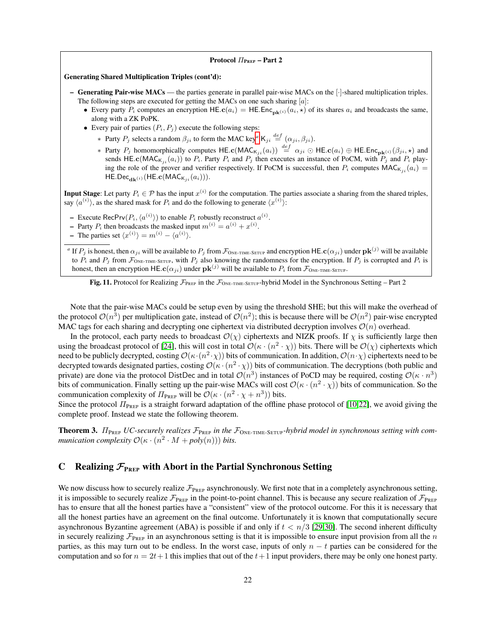Protocol  $\Pi_{\text{PREF}}$  – Part 2 Generating Shared Multiplication Triples (cont'd): – Generating Pair-wise MACs — the parties generate in parallel pair-wise MACs on the [·]-shared multiplication triples. The following steps are executed for getting the MACs on one such sharing  $[a]$ : • Every party  $P_i$  computes an encryption HE.c( $a_i$ ) = HE.Enc<sub>pk</sub>(i)( $a_i$ ,  $\star$ ) of its shares  $a_i$  and broadcasts the same, along with a ZK PoPK. • Every pair of parties  $(P_i, P_j)$  execute the following steps: **\*** P[a](#page-21-2)rty  $P_j$  selects a random  $\beta_{ji}$  to form the MAC key<sup>a</sup> K<sub>ji</sub>  $\stackrel{def}{=} (\alpha_{ji}, \beta_{ji})$ . ∗ Party  $P_j$  homomorphically computes HE.c(MAC<sub>Kji</sub>(ai))  $\stackrel{def}{=} \alpha_{ji} \odot$  HE.c(ai) ⊕ HE.Enc<sub>pk</sub>(i)( $\beta_{ji}, \star$ ) and sends HE.c(MAC<sub>K<sub>ii</sub>( $a_i$ )) to  $P_i$ . Party  $P_i$  and  $P_j$  then executes an instance of PoCM, with  $P_j$  and  $P_i$  play-</sub> ing the role of the prover and verifier respectively. If PoCM is successful, then  $P_i$  computes  $MAC_{K_{ji}} (a_i)$  =  $HE.Dec_{d\mathbf{k}(i)}(HE.c(MAC_{K_{ji}}(a_i))).$ **Input Stage**: Let party  $P_i \in \mathcal{P}$  has the input  $x^{(i)}$  for the computation. The parties associate a sharing from the shared triples, say  $\langle a^{(i)} \rangle$ , as the shared mask for  $P_i$  and do the following to generate  $\langle x^{(i)} \rangle$ : - Execute RecPrv $(P_i, \langle a^{(i)} \rangle)$  to enable  $P_i$  robustly reconstruct  $a^{(i)}$ . - Party  $P_i$  then broadcasts the masked input  $m^{(i)} = a^{(i)} + x^{(i)}$ . - The parties set  $\langle x^{(i)} \rangle = m^{(i)} - \langle a^{(i)} \rangle$ . <sup>a</sup> If  $P_j$  is honest, then  $\alpha_{ji}$  will be available to  $P_j$  from  $\mathcal{F}_{\text{ONE-TIME-SETUP}}$  and encryption HE. $\mathbf{c}(\alpha_{ji})$  under  $\mathbf{pk}^{(j)}$  will be available

<span id="page-21-2"></span>to  $P_i$  and  $P_j$  from  $\mathcal{F}_{\text{ONE-TIME-SETUP}}$ , with  $P_j$  also knowing the randomness for the encryption. If  $P_j$  is corrupted and  $P_i$  is honest, then an encryption HE.c( $\alpha_{ji}$ ) under  $\mathbf{pk}^{(j)}$  will be available to  $P_i$  from  $\mathcal{F}_{\text{ONE-TIME-SETUP}}$ .

<span id="page-21-1"></span>Fig. 11. Protocol for Realizing  $\mathcal{F}_{\text{PREF}}$  in the  $\mathcal{F}_{\text{ONE-TIME-SETUP}}$ -hybrid Model in the Synchronous Setting – Part 2

Note that the pair-wise MACs could be setup even by using the threshold SHE; but this will make the overhead of the protocol  $\mathcal{O}(n^3)$  per multiplication gate, instead of  $\mathcal{O}(n^2)$ ; this is because there will be  $\mathcal{O}(n^2)$  pair-wise encrypted MAC tags for each sharing and decrypting one ciphertext via distributed decryption involves  $\mathcal{O}(n)$  overhead.

In the protocol, each party needs to broadcast  $\mathcal{O}(\chi)$  ciphertexts and NIZK proofs. If  $\chi$  is sufficiently large then using the broadcast protocol of [\[24\]](#page-13-21), this will cost in total  $\mathcal{O}(\kappa \cdot (n^2 \cdot \chi))$  bits. There will be  $\mathcal{O}(\chi)$  ciphertexts which need to be publicly decrypted, costing  $\mathcal{O}(\kappa\cdot(n^2\cdot\chi))$  bits of communication. In addition,  $\mathcal{O}(n\cdot\chi)$  ciphertexts need to be decrypted towards designated parties, costing  $\mathcal{O}(\kappa\cdot(n^2\cdot\chi))$  bits of communication. The decryptions (both public and private) are done via the protocol DistDec and in total  $O(n^3)$  instances of PoCD may be required, costing  $O(\kappa \cdot n^3)$ bits of communication. Finally setting up the pair-wise MACs will cost  $\mathcal{O}(\kappa \cdot (n^2 \cdot \chi))$  bits of communication. So the communication complexity of  $\Pi_{\text{PREF}}$  will be  $\mathcal{O}(\kappa \cdot (n^2 \cdot \chi + n^3))$  bits.

Since the protocol  $\Pi_{\text{PREF}}$  is a straight forward adaptation of the offline phase protocol of [\[10,](#page-13-9)[22\]](#page-13-4), we avoid giving the complete proof. Instead we state the following theorem.

Theorem 3.  $\Pi_{\text{PREF}}$  *UC-securely realizes*  $\mathcal{F}_{\text{PREF}}$  *in the*  $\mathcal{F}_{\text{ONE-TIME-SETUP}}$ *-hybrid model in synchronous setting with communication complexity*  $\mathcal{O}(\kappa \cdot (n^2 \cdot M + \text{poly}(n)))$  *bits.* 

## <span id="page-21-0"></span>C Realizing  $\mathcal{F}_{\text{PREF}}$  with Abort in the Partial Synchronous Setting

We now discuss how to securely realize  $\mathcal{F}_{\text{PREF}}$  asynchronously. We first note that in a completely asynchronous setting, it is impossible to securely realize  $\mathcal{F}_{\text{PREF}}$  in the point-to-point channel. This is because any secure realization of  $\mathcal{F}_{\text{PREF}}$ has to ensure that all the honest parties have a "consistent" view of the protocol outcome. For this it is necessary that all the honest parties have an agreement on the final outcome. Unfortunately it is known that computationally secure asynchronous Byzantine agreement (ABA) is possible if and only if  $t < n/3$  [\[29](#page-14-6)[,30\]](#page-14-7). The second inherent difficulty in securely realizing  $\mathcal{F}_{P_{RFP}}$  in an asynchronous setting is that it is impossible to ensure input provision from all the n parties, as this may turn out to be endless. In the worst case, inputs of only  $n - t$  parties can be considered for the computation and so for  $n = 2t + 1$  this implies that out of the  $t+1$  input providers, there may be only one honest party.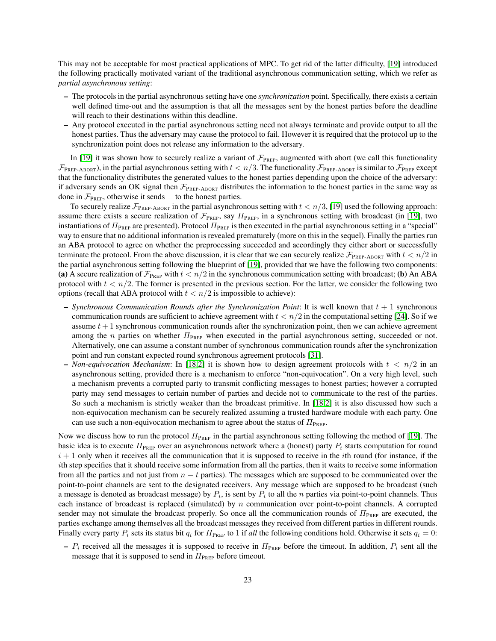This may not be acceptable for most practical applications of MPC. To get rid of the latter difficulty, [\[19\]](#page-13-3) introduced the following practically motivated variant of the traditional asynchronous communication setting, which we refer as *partial asynchronous setting*:

- The protocols in the partial asynchronous setting have one *synchronization* point. Specifically, there exists a certain well defined time-out and the assumption is that all the messages sent by the honest parties before the deadline will reach to their destinations within this deadline.
- Any protocol executed in the partial asynchronous setting need not always terminate and provide output to all the honest parties. Thus the adversary may cause the protocol to fail. However it is required that the protocol up to the synchronization point does not release any information to the adversary.

In [\[19\]](#page-13-3) it was shown how to securely realize a variant of  $\mathcal{F}_{PREP}$ , augmented with abort (we call this functionality  $\mathcal{F}_{\text{PREF-ABORT}}$ ), in the partial asynchronous setting with  $t < n/3$ . The functionality  $\mathcal{F}_{\text{PREF-ABORT}}$  is similar to  $\mathcal{F}_{\text{PREF}}$  except that the functionality distributes the generated values to the honest parties depending upon the choice of the adversary: if adversary sends an OK signal then  $\mathcal{F}_{PREF-ABORT}$  distributes the information to the honest parties in the same way as done in  $\mathcal{F}_{\text{PREF}}$ , otherwise it sends  $\perp$  to the honest parties.

To securely realize  $\mathcal{F}_{PREF-ABORT}$  in the partial asynchronous setting with  $t < n/3$ , [\[19\]](#page-13-3) used the following approach: assume there exists a secure realization of  $\mathcal{F}_{PREF}$ , say  $\Pi_{PREF}$ , in a synchronous setting with broadcast (in [\[19\]](#page-13-3), two instantiations of  $\Pi_{\text{PREF}}$  are presented). Protocol  $\Pi_{\text{PREF}}$  is then executed in the partial asynchronous setting in a "special" way to ensure that no additional information is revealed prematurely (more on this in the sequel). Finally the parties run an ABA protocol to agree on whether the preprocessing succeeded and accordingly they either abort or successfully terminate the protocol. From the above discussion, it is clear that we can securely realize  $\mathcal{F}_{\text{PREF-ABORT}}$  with  $t < n/2$  in the partial asynchronous setting following the blueprint of [\[19\]](#page-13-3), provided that we have the following two components: (a) A secure realization of  $\mathcal{F}_{PREF}$  with  $t < n/2$  in the synchronous communication setting with broadcast; (b) An ABA protocol with  $t < n/2$ . The former is presented in the previous section. For the latter, we consider the following two options (recall that ABA protocol with  $t < n/2$  is impossible to achieve):

- $-$  *Synchronous Communication Rounds after the Synchronization Point*: It is well known that  $t + 1$  synchronous communication rounds are sufficient to achieve agreement with  $t < n/2$  in the computational setting [\[24\]](#page-13-21). So if we assume  $t + 1$  synchronous communication rounds after the synchronization point, then we can achieve agreement among the n parties on whether  $\Pi_{\text{PREF}}$  when executed in the partial asynchronous setting, succeeded or not. Alternatively, one can assume a constant number of synchronous communication rounds after the synchronization point and run constant expected round synchronous agreement protocols [\[31\]](#page-14-8).
- *Non-equivocation Mechanism*: In [\[18,](#page-13-23)[2\]](#page-13-24) it is shown how to design agreement protocols with  $t < n/2$  in an asynchronous setting, provided there is a mechanism to enforce "non-equivocation". On a very high level, such a mechanism prevents a corrupted party to transmit conflicting messages to honest parties; however a corrupted party may send messages to certain number of parties and decide not to communicate to the rest of the parties. So such a mechanism is strictly weaker than the broadcast primitive. In [\[18](#page-13-23)[,2\]](#page-13-24) it is also discussed how such a non-equivocation mechanism can be securely realized assuming a trusted hardware module with each party. One can use such a non-equivocation mechanism to agree about the status of  $\Pi_{\text{PREF}}$ .

Now we discuss how to run the protocol  $\Pi_{\text{PREF}}$  in the partial asynchronous setting following the method of [\[19\]](#page-13-3). The basic idea is to execute  $\Pi_{\text{PREF}}$  over an asynchronous network where a (honest) party  $P_i$  starts computation for round  $i + 1$  only when it receives all the communication that it is supposed to receive in the *i*th round (for instance, if the ith step specifies that it should receive some information from all the parties, then it waits to receive some information from all the parties and not just from  $n - t$  parties). The messages which are supposed to be communicated over the point-to-point channels are sent to the designated receivers. Any message which are supposed to be broadcast (such a message is denoted as broadcast message) by  $P_i$ , is sent by  $P_i$  to all the *n* parties via point-to-point channels. Thus each instance of broadcast is replaced (simulated) by  $n$  communication over point-to-point channels. A corrupted sender may not simulate the broadcast properly. So once all the communication rounds of  $\Pi_{\text{PREF}}$  are executed, the parties exchange among themselves all the broadcast messages they received from different parties in different rounds. Finally every party  $P_i$  sets its status bit  $q_i$  for  $\Pi_{\text{PREF}}$  to 1 if *all* the following conditions hold. Otherwise it sets  $q_i = 0$ :

–  $P_i$  received all the messages it is supposed to receive in  $\Pi_{\text{PREF}}$  before the timeout. In addition,  $P_i$  sent all the message that it is supposed to send in  $\Pi_{\mathrm{PREF}}$  before timeout.